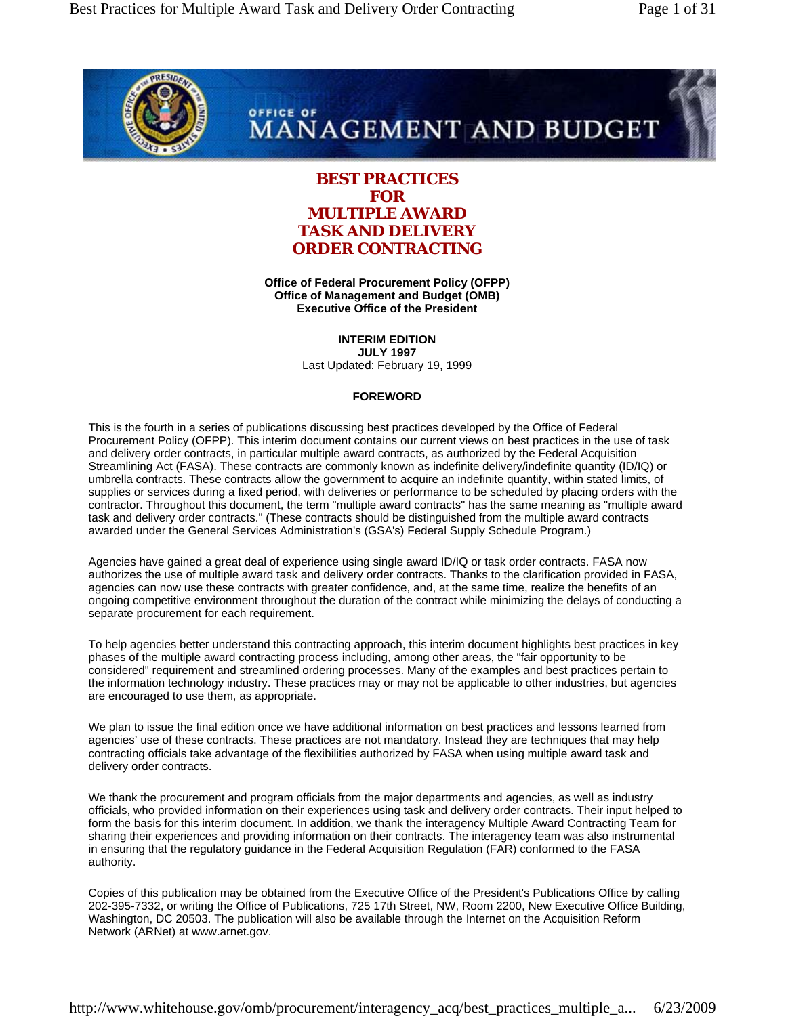

# OFFICE OF **MANAGEMENT AND BUDGET**

# **BEST PRACTICES FOR MULTIPLE AWARD TASK AND DELIVERY ORDER CONTRACTING**

**Office of Federal Procurement Policy (OFPP) Office of Management and Budget (OMB) Executive Office of the President**

> **INTERIM EDITION JULY 1997**

Last Updated: February 19, 1999

### **FOREWORD**

This is the fourth in a series of publications discussing best practices developed by the Office of Federal Procurement Policy (OFPP). This interim document contains our current views on best practices in the use of task and delivery order contracts, in particular multiple award contracts, as authorized by the Federal Acquisition Streamlining Act (FASA). These contracts are commonly known as indefinite delivery/indefinite quantity (ID/IQ) or umbrella contracts. These contracts allow the government to acquire an indefinite quantity, within stated limits, of supplies or services during a fixed period, with deliveries or performance to be scheduled by placing orders with the contractor. Throughout this document, the term "multiple award contracts" has the same meaning as "multiple award task and delivery order contracts." (These contracts should be distinguished from the multiple award contracts awarded under the General Services Administration's (GSA's) Federal Supply Schedule Program.)

Agencies have gained a great deal of experience using single award ID/IQ or task order contracts. FASA now authorizes the use of multiple award task and delivery order contracts. Thanks to the clarification provided in FASA, agencies can now use these contracts with greater confidence, and, at the same time, realize the benefits of an ongoing competitive environment throughout the duration of the contract while minimizing the delays of conducting a separate procurement for each requirement.

To help agencies better understand this contracting approach, this interim document highlights best practices in key phases of the multiple award contracting process including, among other areas, the "fair opportunity to be considered" requirement and streamlined ordering processes. Many of the examples and best practices pertain to the information technology industry. These practices may or may not be applicable to other industries, but agencies are encouraged to use them, as appropriate.

We plan to issue the final edition once we have additional information on best practices and lessons learned from agencies' use of these contracts. These practices are not mandatory. Instead they are techniques that may help contracting officials take advantage of the flexibilities authorized by FASA when using multiple award task and delivery order contracts.

We thank the procurement and program officials from the major departments and agencies, as well as industry officials, who provided information on their experiences using task and delivery order contracts. Their input helped to form the basis for this interim document. In addition, we thank the interagency Multiple Award Contracting Team for sharing their experiences and providing information on their contracts. The interagency team was also instrumental in ensuring that the regulatory guidance in the Federal Acquisition Regulation (FAR) conformed to the FASA authority.

Copies of this publication may be obtained from the Executive Office of the President's Publications Office by calling 202-395-7332, or writing the Office of Publications, 725 17th Street, NW, Room 2200, New Executive Office Building, Washington, DC 20503. The publication will also be available through the Internet on the Acquisition Reform Network (ARNet) at www.arnet.gov.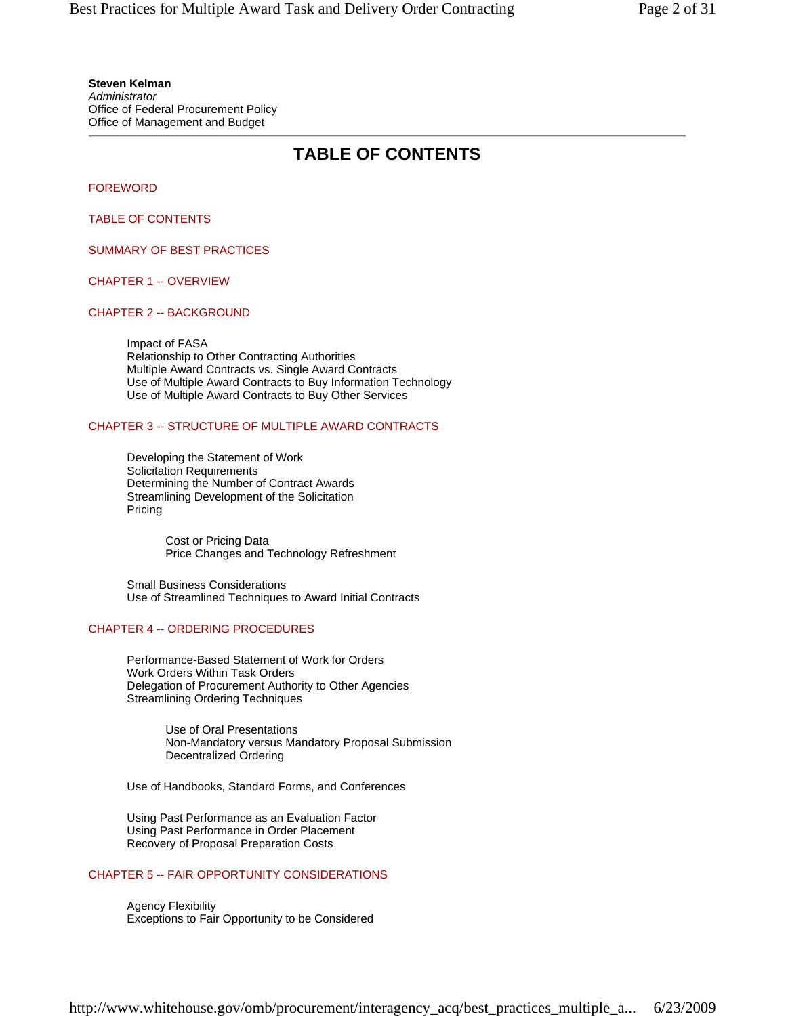**Steven Kelman** *Administrator* Office of Federal Procurement Policy Office of Management and Budget

# **TABLE OF CONTENTS**

FOREWORD

TABLE OF CONTENTS

SUMMARY OF BEST PRACTICES

CHAPTER 1 -- OVERVIEW

### CHAPTER 2 -- BACKGROUND

Impact of FASA Relationship to Other Contracting Authorities Multiple Award Contracts vs. Single Award Contracts Use of Multiple Award Contracts to Buy Information Technology Use of Multiple Award Contracts to Buy Other Services

### CHAPTER 3 -- STRUCTURE OF MULTIPLE AWARD CONTRACTS

Developing the Statement of Work Solicitation Requirements Determining the Number of Contract Awards Streamlining Development of the Solicitation Pricing

> Cost or Pricing Data Price Changes and Technology Refreshment

Small Business Considerations Use of Streamlined Techniques to Award Initial Contracts

### CHAPTER 4 -- ORDERING PROCEDURES

Performance-Based Statement of Work for Orders Work Orders Within Task Orders Delegation of Procurement Authority to Other Agencies Streamlining Ordering Techniques

> Use of Oral Presentations Non-Mandatory versus Mandatory Proposal Submission Decentralized Ordering

Use of Handbooks, Standard Forms, and Conferences

Using Past Performance as an Evaluation Factor Using Past Performance in Order Placement Recovery of Proposal Preparation Costs

# CHAPTER 5 -- FAIR OPPORTUNITY CONSIDERATIONS

Agency Flexibility Exceptions to Fair Opportunity to be Considered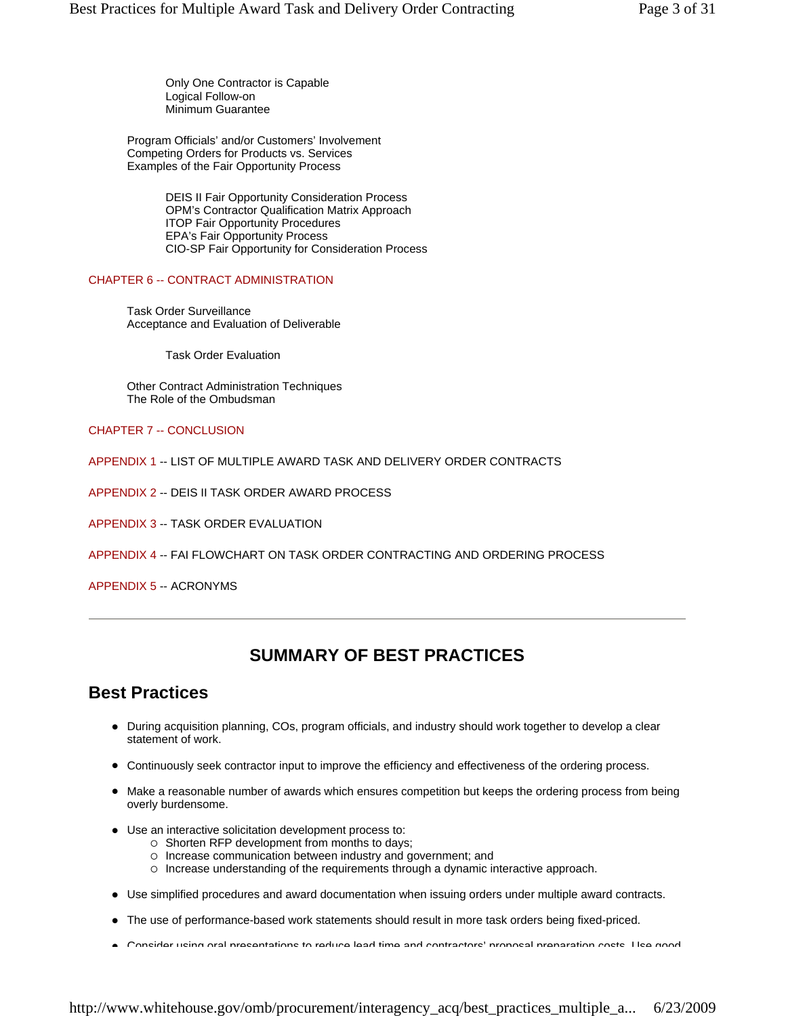Only One Contractor is Capable Logical Follow-on Minimum Guarantee

Program Officials' and/or Customers' Involvement Competing Orders for Products vs. Services Examples of the Fair Opportunity Process

> DEIS II Fair Opportunity Consideration Process OPM's Contractor Qualification Matrix Approach ITOP Fair Opportunity Procedures EPA's Fair Opportunity Process CIO-SP Fair Opportunity for Consideration Process

#### CHAPTER 6 -- CONTRACT ADMINISTRATION

Task Order Surveillance Acceptance and Evaluation of Deliverable

Task Order Evaluation

Other Contract Administration Techniques The Role of the Ombudsman

#### CHAPTER 7 -- CONCLUSION

- APPENDIX 1 -- LIST OF MULTIPLE AWARD TASK AND DELIVERY ORDER CONTRACTS
- APPENDIX 2 -- DEIS II TASK ORDER AWARD PROCESS
- APPENDIX 3 -- TASK ORDER EVALUATION
- APPENDIX 4 -- FAI FLOWCHART ON TASK ORDER CONTRACTING AND ORDERING PROCESS
- APPENDIX 5 -- ACRONYMS

# **SUMMARY OF BEST PRACTICES**

# **Best Practices**

- During acquisition planning, COs, program officials, and industry should work together to develop a clear statement of work.
- Continuously seek contractor input to improve the efficiency and effectiveness of the ordering process.
- Make a reasonable number of awards which ensures competition but keeps the ordering process from being overly burdensome.
- Use an interactive solicitation development process to:
	- $\circ$  Shorten RFP development from months to days;
	- { Increase communication between industry and government; and
	- { Increase understanding of the requirements through a dynamic interactive approach.
- Use simplified procedures and award documentation when issuing orders under multiple award contracts.
- The use of performance-based work statements should result in more task orders being fixed-priced.
- z Consider using oral presentations to reduce lead time and contractors' proposal preparation costs Use good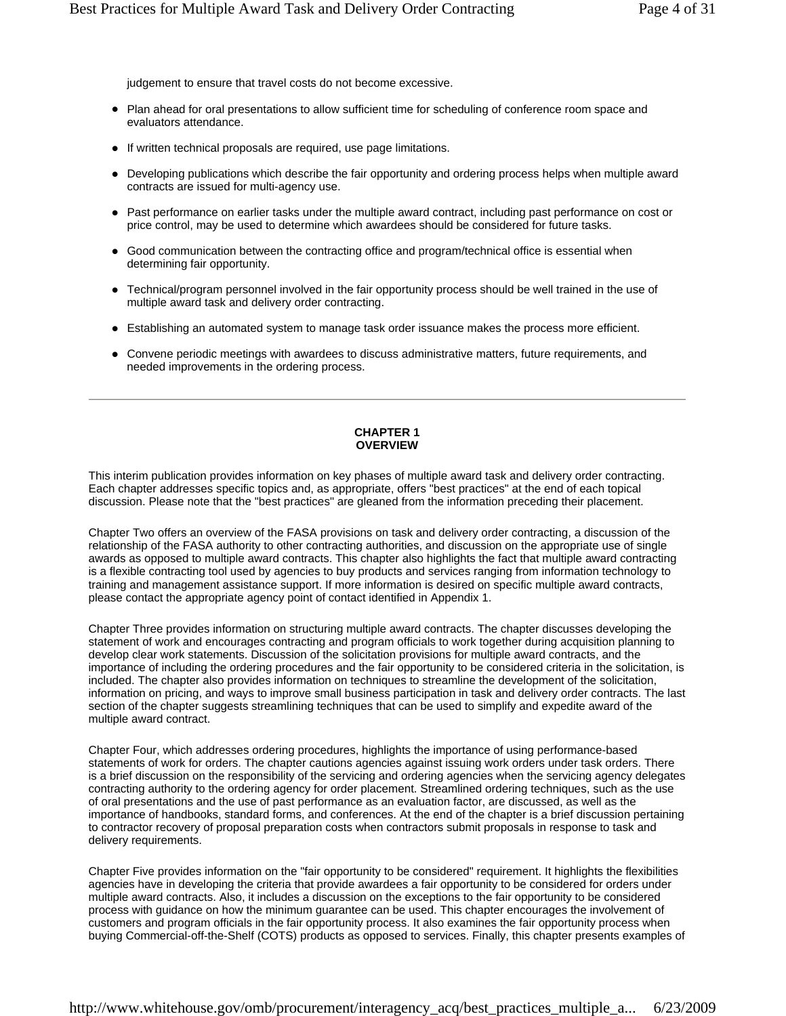judgement to ensure that travel costs do not become excessive.

- Plan ahead for oral presentations to allow sufficient time for scheduling of conference room space and evaluators attendance.
- If written technical proposals are required, use page limitations.
- Developing publications which describe the fair opportunity and ordering process helps when multiple award contracts are issued for multi-agency use.
- Past performance on earlier tasks under the multiple award contract, including past performance on cost or price control, may be used to determine which awardees should be considered for future tasks.
- Good communication between the contracting office and program/technical office is essential when determining fair opportunity.
- Technical/program personnel involved in the fair opportunity process should be well trained in the use of multiple award task and delivery order contracting.
- Establishing an automated system to manage task order issuance makes the process more efficient.
- Convene periodic meetings with awardees to discuss administrative matters, future requirements, and needed improvements in the ordering process.

#### **CHAPTER 1 OVERVIEW**

This interim publication provides information on key phases of multiple award task and delivery order contracting. Each chapter addresses specific topics and, as appropriate, offers "best practices" at the end of each topical discussion. Please note that the "best practices" are gleaned from the information preceding their placement.

Chapter Two offers an overview of the FASA provisions on task and delivery order contracting, a discussion of the relationship of the FASA authority to other contracting authorities, and discussion on the appropriate use of single awards as opposed to multiple award contracts. This chapter also highlights the fact that multiple award contracting is a flexible contracting tool used by agencies to buy products and services ranging from information technology to training and management assistance support. If more information is desired on specific multiple award contracts, please contact the appropriate agency point of contact identified in Appendix 1.

Chapter Three provides information on structuring multiple award contracts. The chapter discusses developing the statement of work and encourages contracting and program officials to work together during acquisition planning to develop clear work statements. Discussion of the solicitation provisions for multiple award contracts, and the importance of including the ordering procedures and the fair opportunity to be considered criteria in the solicitation, is included. The chapter also provides information on techniques to streamline the development of the solicitation, information on pricing, and ways to improve small business participation in task and delivery order contracts. The last section of the chapter suggests streamlining techniques that can be used to simplify and expedite award of the multiple award contract.

Chapter Four, which addresses ordering procedures, highlights the importance of using performance-based statements of work for orders. The chapter cautions agencies against issuing work orders under task orders. There is a brief discussion on the responsibility of the servicing and ordering agencies when the servicing agency delegates contracting authority to the ordering agency for order placement. Streamlined ordering techniques, such as the use of oral presentations and the use of past performance as an evaluation factor, are discussed, as well as the importance of handbooks, standard forms, and conferences. At the end of the chapter is a brief discussion pertaining to contractor recovery of proposal preparation costs when contractors submit proposals in response to task and delivery requirements.

Chapter Five provides information on the "fair opportunity to be considered" requirement. It highlights the flexibilities agencies have in developing the criteria that provide awardees a fair opportunity to be considered for orders under multiple award contracts. Also, it includes a discussion on the exceptions to the fair opportunity to be considered process with guidance on how the minimum guarantee can be used. This chapter encourages the involvement of customers and program officials in the fair opportunity process. It also examines the fair opportunity process when buying Commercial-off-the-Shelf (COTS) products as opposed to services. Finally, this chapter presents examples of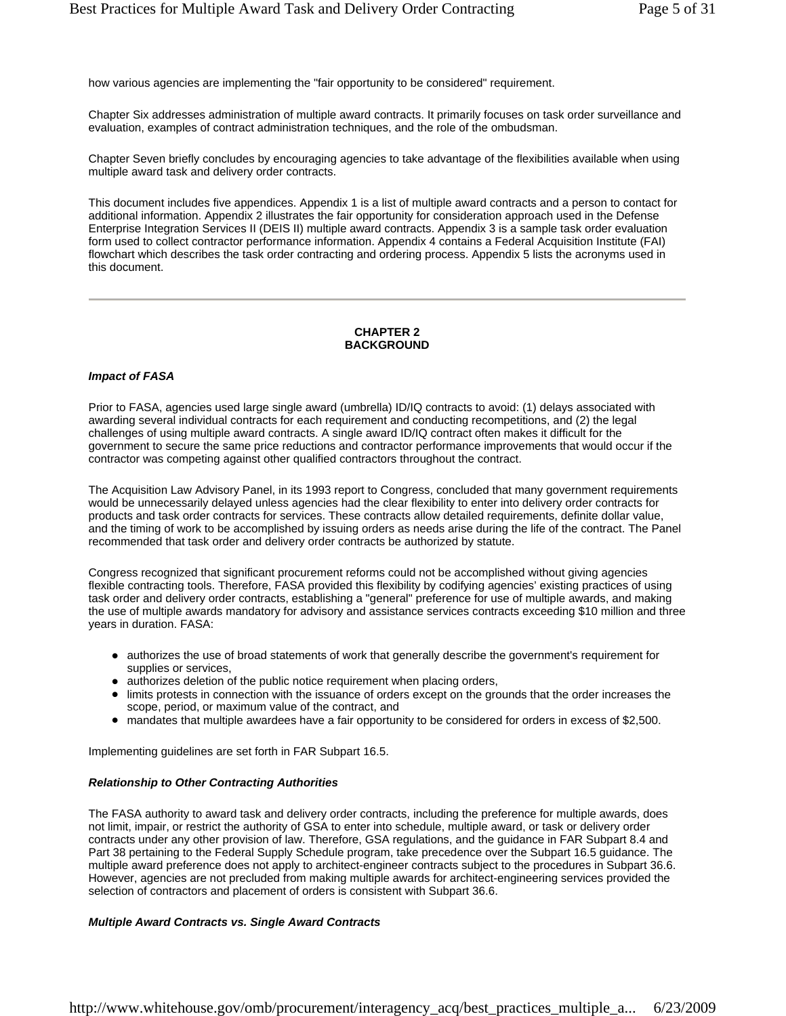how various agencies are implementing the "fair opportunity to be considered" requirement.

Chapter Six addresses administration of multiple award contracts. It primarily focuses on task order surveillance and evaluation, examples of contract administration techniques, and the role of the ombudsman.

Chapter Seven briefly concludes by encouraging agencies to take advantage of the flexibilities available when using multiple award task and delivery order contracts.

This document includes five appendices. Appendix 1 is a list of multiple award contracts and a person to contact for additional information. Appendix 2 illustrates the fair opportunity for consideration approach used in the Defense Enterprise Integration Services II (DEIS II) multiple award contracts. Appendix 3 is a sample task order evaluation form used to collect contractor performance information. Appendix 4 contains a Federal Acquisition Institute (FAI) flowchart which describes the task order contracting and ordering process. Appendix 5 lists the acronyms used in this document.

#### **CHAPTER 2 BACKGROUND**

#### *Impact of FASA*

Prior to FASA, agencies used large single award (umbrella) ID/IQ contracts to avoid: (1) delays associated with awarding several individual contracts for each requirement and conducting recompetitions, and (2) the legal challenges of using multiple award contracts. A single award ID/IQ contract often makes it difficult for the government to secure the same price reductions and contractor performance improvements that would occur if the contractor was competing against other qualified contractors throughout the contract.

The Acquisition Law Advisory Panel, in its 1993 report to Congress, concluded that many government requirements would be unnecessarily delayed unless agencies had the clear flexibility to enter into delivery order contracts for products and task order contracts for services. These contracts allow detailed requirements, definite dollar value, and the timing of work to be accomplished by issuing orders as needs arise during the life of the contract. The Panel recommended that task order and delivery order contracts be authorized by statute.

Congress recognized that significant procurement reforms could not be accomplished without giving agencies flexible contracting tools. Therefore, FASA provided this flexibility by codifying agencies' existing practices of using task order and delivery order contracts, establishing a "general" preference for use of multiple awards, and making the use of multiple awards mandatory for advisory and assistance services contracts exceeding \$10 million and three years in duration. FASA:

- authorizes the use of broad statements of work that generally describe the government's requirement for supplies or services,
- authorizes deletion of the public notice requirement when placing orders,
- limits protests in connection with the issuance of orders except on the grounds that the order increases the scope, period, or maximum value of the contract, and
- mandates that multiple awardees have a fair opportunity to be considered for orders in excess of \$2,500.

Implementing guidelines are set forth in FAR Subpart 16.5.

#### *Relationship to Other Contracting Authorities*

The FASA authority to award task and delivery order contracts, including the preference for multiple awards, does not limit, impair, or restrict the authority of GSA to enter into schedule, multiple award, or task or delivery order contracts under any other provision of law. Therefore, GSA regulations, and the guidance in FAR Subpart 8.4 and Part 38 pertaining to the Federal Supply Schedule program, take precedence over the Subpart 16.5 guidance. The multiple award preference does not apply to architect-engineer contracts subject to the procedures in Subpart 36.6. However, agencies are not precluded from making multiple awards for architect-engineering services provided the selection of contractors and placement of orders is consistent with Subpart 36.6.

#### *Multiple Award Contracts vs. Single Award Contracts*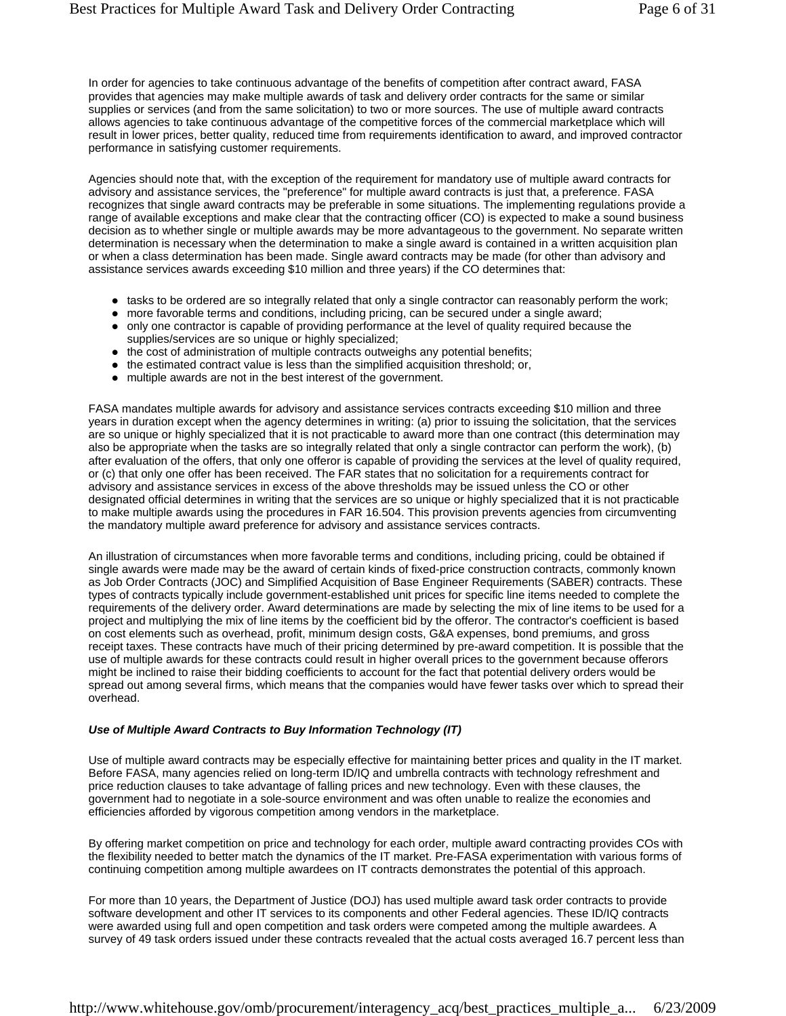In order for agencies to take continuous advantage of the benefits of competition after contract award, FASA provides that agencies may make multiple awards of task and delivery order contracts for the same or similar supplies or services (and from the same solicitation) to two or more sources. The use of multiple award contracts allows agencies to take continuous advantage of the competitive forces of the commercial marketplace which will result in lower prices, better quality, reduced time from requirements identification to award, and improved contractor performance in satisfying customer requirements.

Agencies should note that, with the exception of the requirement for mandatory use of multiple award contracts for advisory and assistance services, the "preference" for multiple award contracts is just that, a preference. FASA recognizes that single award contracts may be preferable in some situations. The implementing regulations provide a range of available exceptions and make clear that the contracting officer (CO) is expected to make a sound business decision as to whether single or multiple awards may be more advantageous to the government. No separate written determination is necessary when the determination to make a single award is contained in a written acquisition plan or when a class determination has been made. Single award contracts may be made (for other than advisory and assistance services awards exceeding \$10 million and three years) if the CO determines that:

- tasks to be ordered are so integrally related that only a single contractor can reasonably perform the work;
- more favorable terms and conditions, including pricing, can be secured under a single award; • only one contractor is capable of providing performance at the level of quality required because the supplies/services are so unique or highly specialized;
- the cost of administration of multiple contracts outweighs any potential benefits;
- $\bullet$  the estimated contract value is less than the simplified acquisition threshold; or,
- multiple awards are not in the best interest of the government.

FASA mandates multiple awards for advisory and assistance services contracts exceeding \$10 million and three years in duration except when the agency determines in writing: (a) prior to issuing the solicitation, that the services are so unique or highly specialized that it is not practicable to award more than one contract (this determination may also be appropriate when the tasks are so integrally related that only a single contractor can perform the work), (b) after evaluation of the offers, that only one offeror is capable of providing the services at the level of quality required, or (c) that only one offer has been received. The FAR states that no solicitation for a requirements contract for advisory and assistance services in excess of the above thresholds may be issued unless the CO or other designated official determines in writing that the services are so unique or highly specialized that it is not practicable to make multiple awards using the procedures in FAR 16.504. This provision prevents agencies from circumventing the mandatory multiple award preference for advisory and assistance services contracts.

An illustration of circumstances when more favorable terms and conditions, including pricing, could be obtained if single awards were made may be the award of certain kinds of fixed-price construction contracts, commonly known as Job Order Contracts (JOC) and Simplified Acquisition of Base Engineer Requirements (SABER) contracts. These types of contracts typically include government-established unit prices for specific line items needed to complete the requirements of the delivery order. Award determinations are made by selecting the mix of line items to be used for a project and multiplying the mix of line items by the coefficient bid by the offeror. The contractor's coefficient is based on cost elements such as overhead, profit, minimum design costs, G&A expenses, bond premiums, and gross receipt taxes. These contracts have much of their pricing determined by pre-award competition. It is possible that the use of multiple awards for these contracts could result in higher overall prices to the government because offerors might be inclined to raise their bidding coefficients to account for the fact that potential delivery orders would be spread out among several firms, which means that the companies would have fewer tasks over which to spread their overhead.

#### *Use of Multiple Award Contracts to Buy Information Technology (IT)*

Use of multiple award contracts may be especially effective for maintaining better prices and quality in the IT market. Before FASA, many agencies relied on long-term ID/IQ and umbrella contracts with technology refreshment and price reduction clauses to take advantage of falling prices and new technology. Even with these clauses, the government had to negotiate in a sole-source environment and was often unable to realize the economies and efficiencies afforded by vigorous competition among vendors in the marketplace.

By offering market competition on price and technology for each order, multiple award contracting provides COs with the flexibility needed to better match the dynamics of the IT market. Pre-FASA experimentation with various forms of continuing competition among multiple awardees on IT contracts demonstrates the potential of this approach.

For more than 10 years, the Department of Justice (DOJ) has used multiple award task order contracts to provide software development and other IT services to its components and other Federal agencies. These ID/IQ contracts were awarded using full and open competition and task orders were competed among the multiple awardees. A survey of 49 task orders issued under these contracts revealed that the actual costs averaged 16.7 percent less than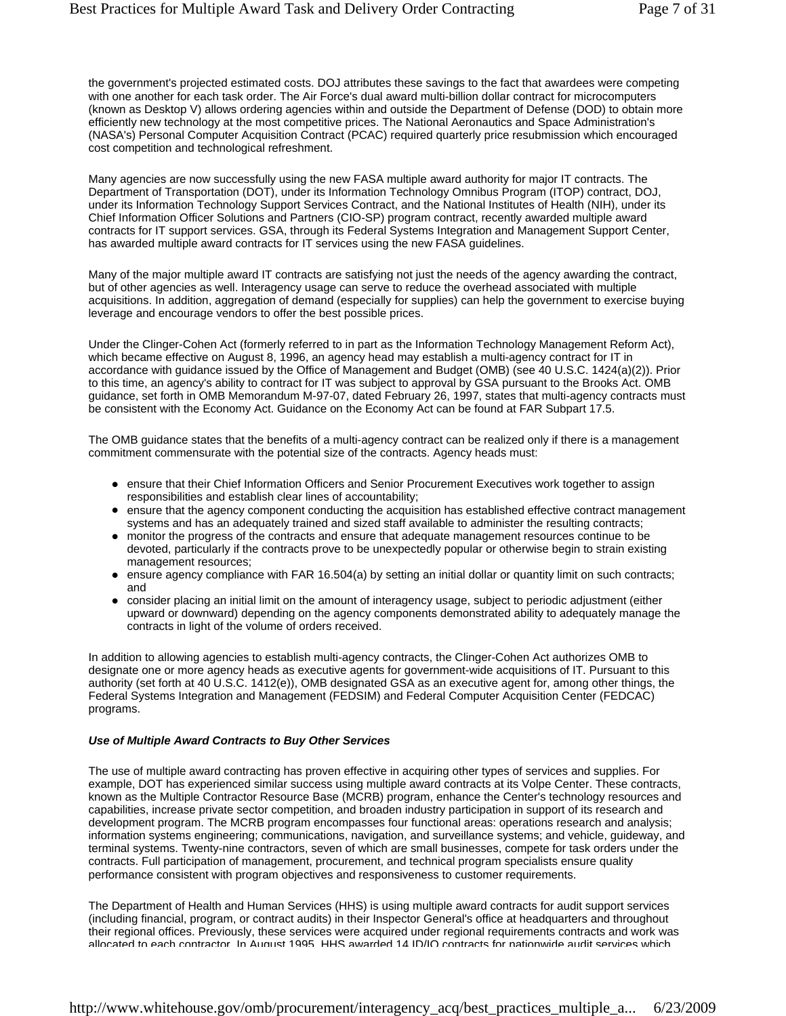the government's projected estimated costs. DOJ attributes these savings to the fact that awardees were competing with one another for each task order. The Air Force's dual award multi-billion dollar contract for microcomputers (known as Desktop V) allows ordering agencies within and outside the Department of Defense (DOD) to obtain more efficiently new technology at the most competitive prices. The National Aeronautics and Space Administration's (NASA's) Personal Computer Acquisition Contract (PCAC) required quarterly price resubmission which encouraged cost competition and technological refreshment.

Many agencies are now successfully using the new FASA multiple award authority for major IT contracts. The Department of Transportation (DOT), under its Information Technology Omnibus Program (ITOP) contract, DOJ, under its Information Technology Support Services Contract, and the National Institutes of Health (NIH), under its Chief Information Officer Solutions and Partners (CIO-SP) program contract, recently awarded multiple award contracts for IT support services. GSA, through its Federal Systems Integration and Management Support Center, has awarded multiple award contracts for IT services using the new FASA guidelines.

Many of the major multiple award IT contracts are satisfying not just the needs of the agency awarding the contract, but of other agencies as well. Interagency usage can serve to reduce the overhead associated with multiple acquisitions. In addition, aggregation of demand (especially for supplies) can help the government to exercise buying leverage and encourage vendors to offer the best possible prices.

Under the Clinger-Cohen Act (formerly referred to in part as the Information Technology Management Reform Act), which became effective on August 8, 1996, an agency head may establish a multi-agency contract for IT in accordance with guidance issued by the Office of Management and Budget (OMB) (see 40 U.S.C. 1424(a)(2)). Prior to this time, an agency's ability to contract for IT was subject to approval by GSA pursuant to the Brooks Act. OMB guidance, set forth in OMB Memorandum M-97-07, dated February 26, 1997, states that multi-agency contracts must be consistent with the Economy Act. Guidance on the Economy Act can be found at FAR Subpart 17.5.

The OMB guidance states that the benefits of a multi-agency contract can be realized only if there is a management commitment commensurate with the potential size of the contracts. Agency heads must:

- ensure that their Chief Information Officers and Senior Procurement Executives work together to assign responsibilities and establish clear lines of accountability;
- ensure that the agency component conducting the acquisition has established effective contract management systems and has an adequately trained and sized staff available to administer the resulting contracts;
- monitor the progress of the contracts and ensure that adequate management resources continue to be devoted, particularly if the contracts prove to be unexpectedly popular or otherwise begin to strain existing management resources;
- $\bullet$  ensure agency compliance with FAR 16.504(a) by setting an initial dollar or quantity limit on such contracts; and
- consider placing an initial limit on the amount of interagency usage, subject to periodic adjustment (either upward or downward) depending on the agency components demonstrated ability to adequately manage the contracts in light of the volume of orders received.

In addition to allowing agencies to establish multi-agency contracts, the Clinger-Cohen Act authorizes OMB to designate one or more agency heads as executive agents for government-wide acquisitions of IT. Pursuant to this authority (set forth at 40 U.S.C. 1412(e)), OMB designated GSA as an executive agent for, among other things, the Federal Systems Integration and Management (FEDSIM) and Federal Computer Acquisition Center (FEDCAC) programs.

#### *Use of Multiple Award Contracts to Buy Other Services*

The use of multiple award contracting has proven effective in acquiring other types of services and supplies. For example, DOT has experienced similar success using multiple award contracts at its Volpe Center. These contracts, known as the Multiple Contractor Resource Base (MCRB) program, enhance the Center's technology resources and capabilities, increase private sector competition, and broaden industry participation in support of its research and development program. The MCRB program encompasses four functional areas: operations research and analysis; information systems engineering; communications, navigation, and surveillance systems; and vehicle, guideway, and terminal systems. Twenty-nine contractors, seven of which are small businesses, compete for task orders under the contracts. Full participation of management, procurement, and technical program specialists ensure quality performance consistent with program objectives and responsiveness to customer requirements.

The Department of Health and Human Services (HHS) is using multiple award contracts for audit support services (including financial, program, or contract audits) in their Inspector General's office at headquarters and throughout their regional offices. Previously, these services were acquired under regional requirements contracts and work was allocated to each contractor In August 1995 HHS awarded 14 ID/IQ contracts for nationwide audit services which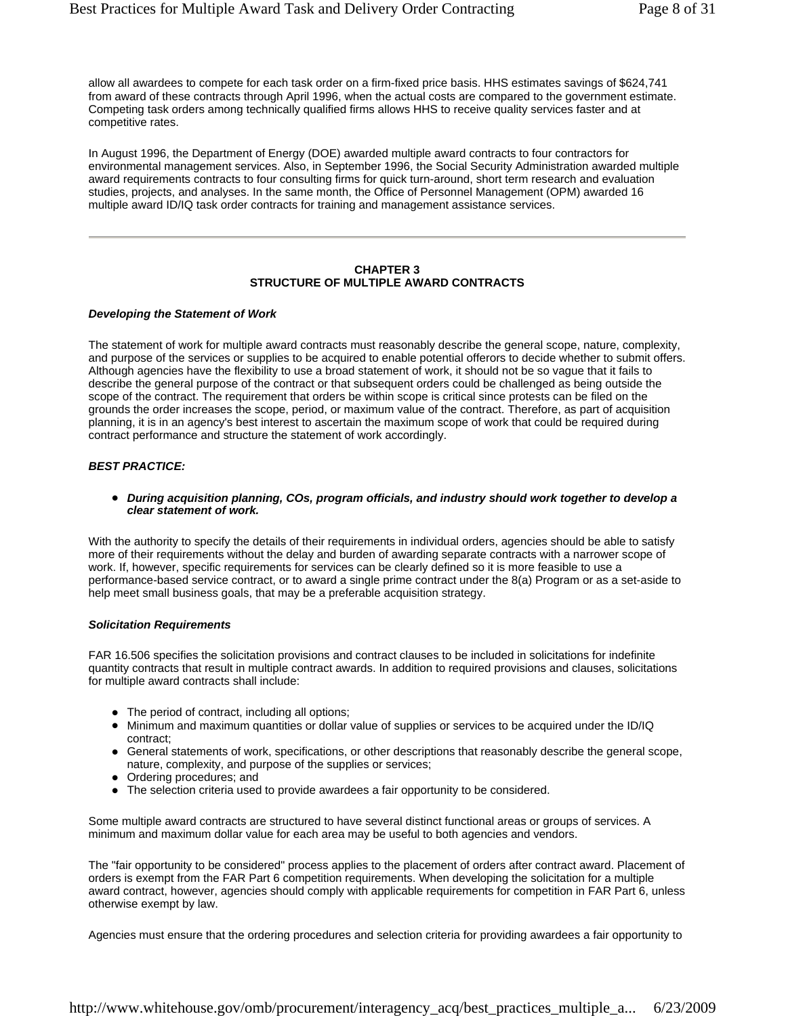allow all awardees to compete for each task order on a firm-fixed price basis. HHS estimates savings of \$624,741 from award of these contracts through April 1996, when the actual costs are compared to the government estimate. Competing task orders among technically qualified firms allows HHS to receive quality services faster and at competitive rates.

In August 1996, the Department of Energy (DOE) awarded multiple award contracts to four contractors for environmental management services. Also, in September 1996, the Social Security Administration awarded multiple award requirements contracts to four consulting firms for quick turn-around, short term research and evaluation studies, projects, and analyses. In the same month, the Office of Personnel Management (OPM) awarded 16 multiple award ID/IQ task order contracts for training and management assistance services.

#### **CHAPTER 3 STRUCTURE OF MULTIPLE AWARD CONTRACTS**

#### *Developing the Statement of Work*

The statement of work for multiple award contracts must reasonably describe the general scope, nature, complexity, and purpose of the services or supplies to be acquired to enable potential offerors to decide whether to submit offers. Although agencies have the flexibility to use a broad statement of work, it should not be so vague that it fails to describe the general purpose of the contract or that subsequent orders could be challenged as being outside the scope of the contract. The requirement that orders be within scope is critical since protests can be filed on the grounds the order increases the scope, period, or maximum value of the contract. Therefore, as part of acquisition planning, it is in an agency's best interest to ascertain the maximum scope of work that could be required during contract performance and structure the statement of work accordingly.

#### *BEST PRACTICE:*

• During acquisition planning, COs, program officials, and industry should work together to develop a *clear statement of work.*

With the authority to specify the details of their requirements in individual orders, agencies should be able to satisfy more of their requirements without the delay and burden of awarding separate contracts with a narrower scope of work. If, however, specific requirements for services can be clearly defined so it is more feasible to use a performance-based service contract, or to award a single prime contract under the 8(a) Program or as a set-aside to help meet small business goals, that may be a preferable acquisition strategy.

#### *Solicitation Requirements*

FAR 16.506 specifies the solicitation provisions and contract clauses to be included in solicitations for indefinite quantity contracts that result in multiple contract awards. In addition to required provisions and clauses, solicitations for multiple award contracts shall include:

- The period of contract, including all options;
- Minimum and maximum quantities or dollar value of supplies or services to be acquired under the ID/IQ contract;
- General statements of work, specifications, or other descriptions that reasonably describe the general scope, nature, complexity, and purpose of the supplies or services;
- Ordering procedures; and
- The selection criteria used to provide awardees a fair opportunity to be considered.

Some multiple award contracts are structured to have several distinct functional areas or groups of services. A minimum and maximum dollar value for each area may be useful to both agencies and vendors.

The "fair opportunity to be considered" process applies to the placement of orders after contract award. Placement of orders is exempt from the FAR Part 6 competition requirements. When developing the solicitation for a multiple award contract, however, agencies should comply with applicable requirements for competition in FAR Part 6, unless otherwise exempt by law.

Agencies must ensure that the ordering procedures and selection criteria for providing awardees a fair opportunity to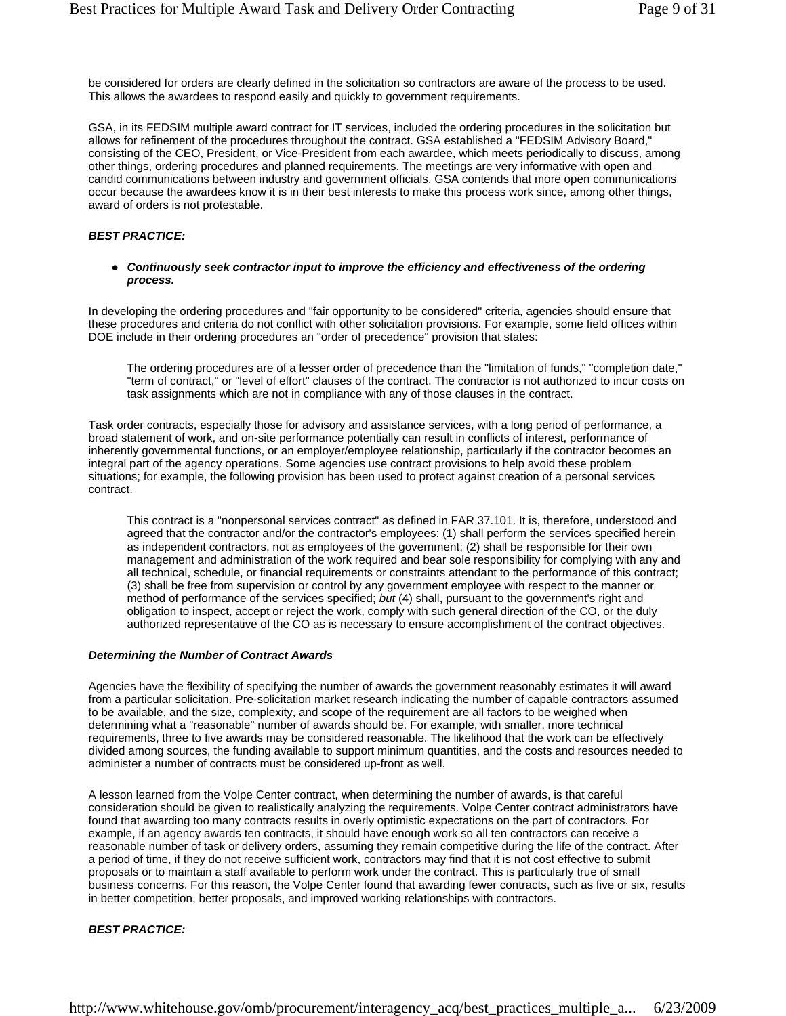be considered for orders are clearly defined in the solicitation so contractors are aware of the process to be used. This allows the awardees to respond easily and quickly to government requirements.

GSA, in its FEDSIM multiple award contract for IT services, included the ordering procedures in the solicitation but allows for refinement of the procedures throughout the contract. GSA established a "FEDSIM Advisory Board," consisting of the CEO, President, or Vice-President from each awardee, which meets periodically to discuss, among other things, ordering procedures and planned requirements. The meetings are very informative with open and candid communications between industry and government officials. GSA contends that more open communications occur because the awardees know it is in their best interests to make this process work since, among other things, award of orders is not protestable.

#### *BEST PRACTICE:*

• Continuously seek contractor input to improve the efficiency and effectiveness of the ordering *process.*

In developing the ordering procedures and "fair opportunity to be considered" criteria, agencies should ensure that these procedures and criteria do not conflict with other solicitation provisions. For example, some field offices within DOE include in their ordering procedures an "order of precedence" provision that states:

The ordering procedures are of a lesser order of precedence than the "limitation of funds," "completion date," "term of contract," or "level of effort" clauses of the contract. The contractor is not authorized to incur costs on task assignments which are not in compliance with any of those clauses in the contract.

Task order contracts, especially those for advisory and assistance services, with a long period of performance, a broad statement of work, and on-site performance potentially can result in conflicts of interest, performance of inherently governmental functions, or an employer/employee relationship, particularly if the contractor becomes an integral part of the agency operations. Some agencies use contract provisions to help avoid these problem situations; for example, the following provision has been used to protect against creation of a personal services contract.

This contract is a "nonpersonal services contract" as defined in FAR 37.101. It is, therefore, understood and agreed that the contractor and/or the contractor's employees: (1) shall perform the services specified herein as independent contractors, not as employees of the government; (2) shall be responsible for their own management and administration of the work required and bear sole responsibility for complying with any and all technical, schedule, or financial requirements or constraints attendant to the performance of this contract; (3) shall be free from supervision or control by any government employee with respect to the manner or method of performance of the services specified; *but* (4) shall, pursuant to the government's right and obligation to inspect, accept or reject the work, comply with such general direction of the CO, or the duly authorized representative of the CO as is necessary to ensure accomplishment of the contract objectives.

#### *Determining the Number of Contract Awards*

Agencies have the flexibility of specifying the number of awards the government reasonably estimates it will award from a particular solicitation. Pre-solicitation market research indicating the number of capable contractors assumed to be available, and the size, complexity, and scope of the requirement are all factors to be weighed when determining what a "reasonable" number of awards should be. For example, with smaller, more technical requirements, three to five awards may be considered reasonable. The likelihood that the work can be effectively divided among sources, the funding available to support minimum quantities, and the costs and resources needed to administer a number of contracts must be considered up-front as well.

A lesson learned from the Volpe Center contract, when determining the number of awards, is that careful consideration should be given to realistically analyzing the requirements. Volpe Center contract administrators have found that awarding too many contracts results in overly optimistic expectations on the part of contractors. For example, if an agency awards ten contracts, it should have enough work so all ten contractors can receive a reasonable number of task or delivery orders, assuming they remain competitive during the life of the contract. After a period of time, if they do not receive sufficient work, contractors may find that it is not cost effective to submit proposals or to maintain a staff available to perform work under the contract. This is particularly true of small business concerns. For this reason, the Volpe Center found that awarding fewer contracts, such as five or six, results in better competition, better proposals, and improved working relationships with contractors.

#### *BEST PRACTICE:*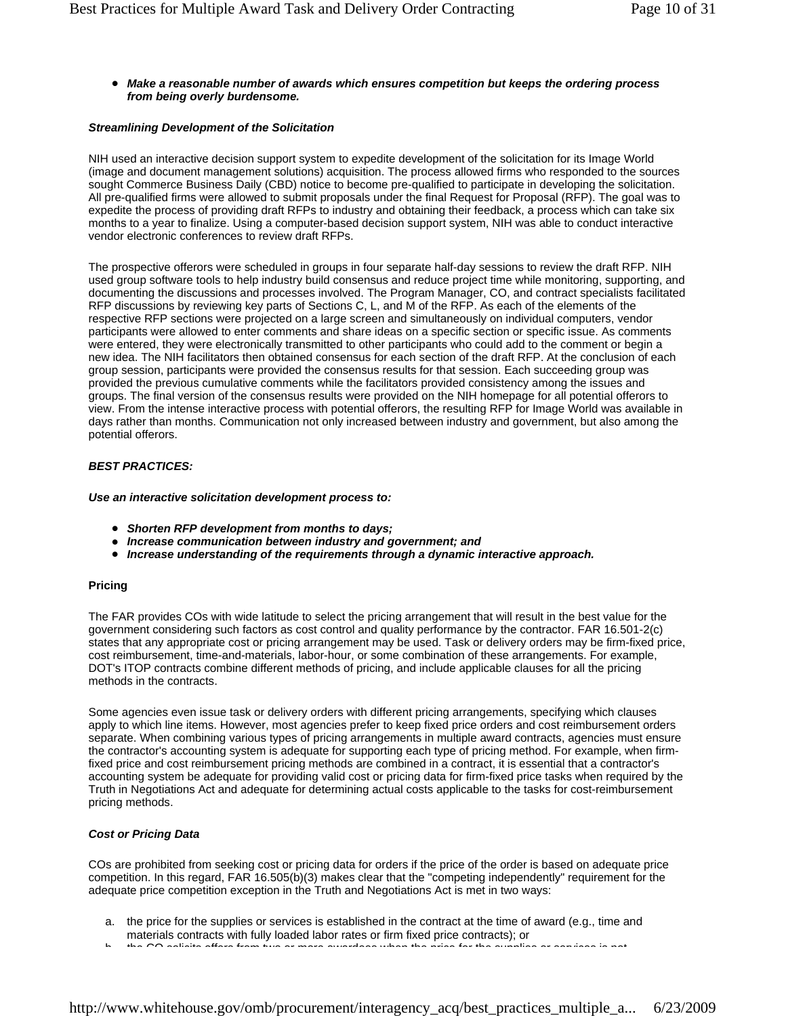#### **• Make a reasonable number of awards which ensures competition but keeps the ordering process** *from being overly burdensome.*

#### *Streamlining Development of the Solicitation*

NIH used an interactive decision support system to expedite development of the solicitation for its Image World (image and document management solutions) acquisition. The process allowed firms who responded to the sources sought Commerce Business Daily (CBD) notice to become pre-qualified to participate in developing the solicitation. All pre-qualified firms were allowed to submit proposals under the final Request for Proposal (RFP). The goal was to expedite the process of providing draft RFPs to industry and obtaining their feedback, a process which can take six months to a year to finalize. Using a computer-based decision support system, NIH was able to conduct interactive vendor electronic conferences to review draft RFPs.

The prospective offerors were scheduled in groups in four separate half-day sessions to review the draft RFP. NIH used group software tools to help industry build consensus and reduce project time while monitoring, supporting, and documenting the discussions and processes involved. The Program Manager, CO, and contract specialists facilitated RFP discussions by reviewing key parts of Sections C, L, and M of the RFP. As each of the elements of the respective RFP sections were projected on a large screen and simultaneously on individual computers, vendor participants were allowed to enter comments and share ideas on a specific section or specific issue. As comments were entered, they were electronically transmitted to other participants who could add to the comment or begin a new idea. The NIH facilitators then obtained consensus for each section of the draft RFP. At the conclusion of each group session, participants were provided the consensus results for that session. Each succeeding group was provided the previous cumulative comments while the facilitators provided consistency among the issues and groups. The final version of the consensus results were provided on the NIH homepage for all potential offerors to view. From the intense interactive process with potential offerors, the resulting RFP for Image World was available in days rather than months. Communication not only increased between industry and government, but also among the potential offerors.

#### *BEST PRACTICES:*

*Use an interactive solicitation development process to:*

- **•** Shorten RFP development from months to days;
- z *Increase communication between industry and government; and*
- **Increase understanding of the requirements through a dynamic interactive approach.**

#### **Pricing**

The FAR provides COs with wide latitude to select the pricing arrangement that will result in the best value for the government considering such factors as cost control and quality performance by the contractor. FAR 16.501-2(c) states that any appropriate cost or pricing arrangement may be used. Task or delivery orders may be firm-fixed price, cost reimbursement, time-and-materials, labor-hour, or some combination of these arrangements. For example, DOT's ITOP contracts combine different methods of pricing, and include applicable clauses for all the pricing methods in the contracts.

Some agencies even issue task or delivery orders with different pricing arrangements, specifying which clauses apply to which line items. However, most agencies prefer to keep fixed price orders and cost reimbursement orders separate. When combining various types of pricing arrangements in multiple award contracts, agencies must ensure the contractor's accounting system is adequate for supporting each type of pricing method. For example, when firmfixed price and cost reimbursement pricing methods are combined in a contract, it is essential that a contractor's accounting system be adequate for providing valid cost or pricing data for firm-fixed price tasks when required by the Truth in Negotiations Act and adequate for determining actual costs applicable to the tasks for cost-reimbursement pricing methods.

#### *Cost or Pricing Data*

COs are prohibited from seeking cost or pricing data for orders if the price of the order is based on adequate price competition. In this regard, FAR 16.505(b)(3) makes clear that the "competing independently" requirement for the adequate price competition exception in the Truth and Negotiations Act is met in two ways:

- a. the price for the supplies or services is established in the contract at the time of award (e.g., time and materials contracts with fully loaded labor rates or firm fixed price contracts); or
- the CO solicite offers from two or more awardees when the price for the sup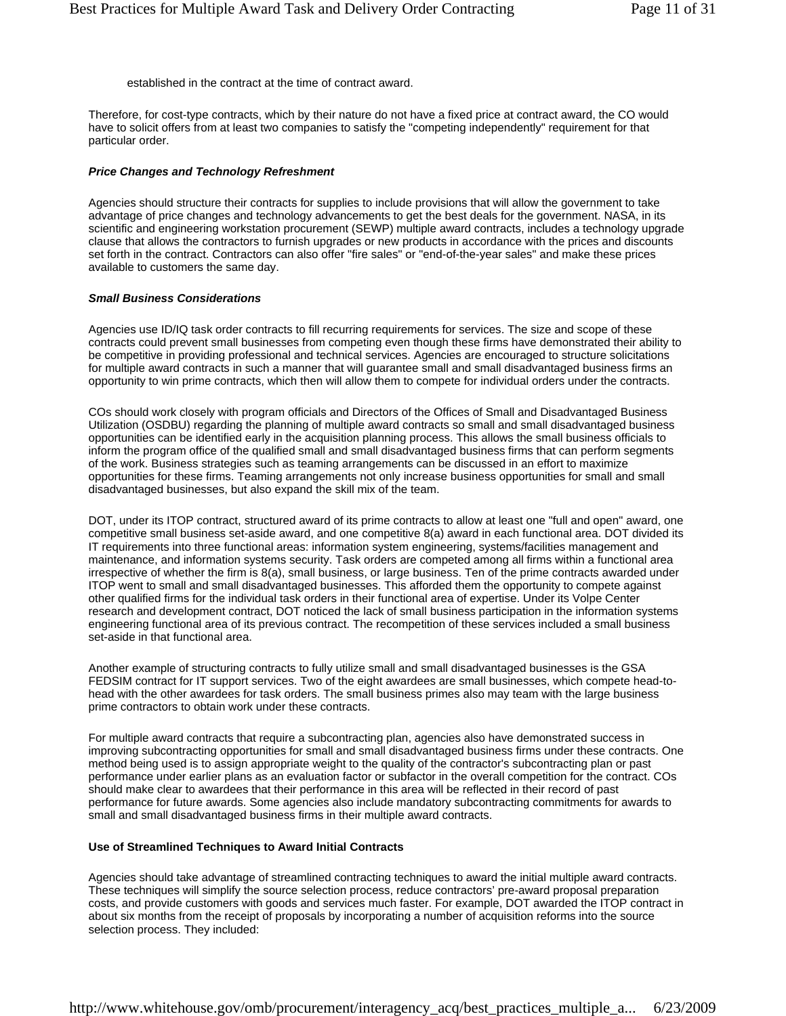established in the contract at the time of contract award.

Therefore, for cost-type contracts, which by their nature do not have a fixed price at contract award, the CO would have to solicit offers from at least two companies to satisfy the "competing independently" requirement for that particular order.

#### *Price Changes and Technology Refreshment*

Agencies should structure their contracts for supplies to include provisions that will allow the government to take advantage of price changes and technology advancements to get the best deals for the government. NASA, in its scientific and engineering workstation procurement (SEWP) multiple award contracts, includes a technology upgrade clause that allows the contractors to furnish upgrades or new products in accordance with the prices and discounts set forth in the contract. Contractors can also offer "fire sales" or "end-of-the-year sales" and make these prices available to customers the same day.

#### *Small Business Considerations*

Agencies use ID/IQ task order contracts to fill recurring requirements for services. The size and scope of these contracts could prevent small businesses from competing even though these firms have demonstrated their ability to be competitive in providing professional and technical services. Agencies are encouraged to structure solicitations for multiple award contracts in such a manner that will guarantee small and small disadvantaged business firms an opportunity to win prime contracts, which then will allow them to compete for individual orders under the contracts.

COs should work closely with program officials and Directors of the Offices of Small and Disadvantaged Business Utilization (OSDBU) regarding the planning of multiple award contracts so small and small disadvantaged business opportunities can be identified early in the acquisition planning process. This allows the small business officials to inform the program office of the qualified small and small disadvantaged business firms that can perform segments of the work. Business strategies such as teaming arrangements can be discussed in an effort to maximize opportunities for these firms. Teaming arrangements not only increase business opportunities for small and small disadvantaged businesses, but also expand the skill mix of the team.

DOT, under its ITOP contract, structured award of its prime contracts to allow at least one "full and open" award, one competitive small business set-aside award, and one competitive 8(a) award in each functional area. DOT divided its IT requirements into three functional areas: information system engineering, systems/facilities management and maintenance, and information systems security. Task orders are competed among all firms within a functional area irrespective of whether the firm is 8(a), small business, or large business. Ten of the prime contracts awarded under ITOP went to small and small disadvantaged businesses. This afforded them the opportunity to compete against other qualified firms for the individual task orders in their functional area of expertise. Under its Volpe Center research and development contract, DOT noticed the lack of small business participation in the information systems engineering functional area of its previous contract. The recompetition of these services included a small business set-aside in that functional area.

Another example of structuring contracts to fully utilize small and small disadvantaged businesses is the GSA FEDSIM contract for IT support services. Two of the eight awardees are small businesses, which compete head-tohead with the other awardees for task orders. The small business primes also may team with the large business prime contractors to obtain work under these contracts.

For multiple award contracts that require a subcontracting plan, agencies also have demonstrated success in improving subcontracting opportunities for small and small disadvantaged business firms under these contracts. One method being used is to assign appropriate weight to the quality of the contractor's subcontracting plan or past performance under earlier plans as an evaluation factor or subfactor in the overall competition for the contract. COs should make clear to awardees that their performance in this area will be reflected in their record of past performance for future awards. Some agencies also include mandatory subcontracting commitments for awards to small and small disadvantaged business firms in their multiple award contracts.

#### **Use of Streamlined Techniques to Award Initial Contracts**

Agencies should take advantage of streamlined contracting techniques to award the initial multiple award contracts. These techniques will simplify the source selection process, reduce contractors' pre-award proposal preparation costs, and provide customers with goods and services much faster. For example, DOT awarded the ITOP contract in about six months from the receipt of proposals by incorporating a number of acquisition reforms into the source selection process. They included: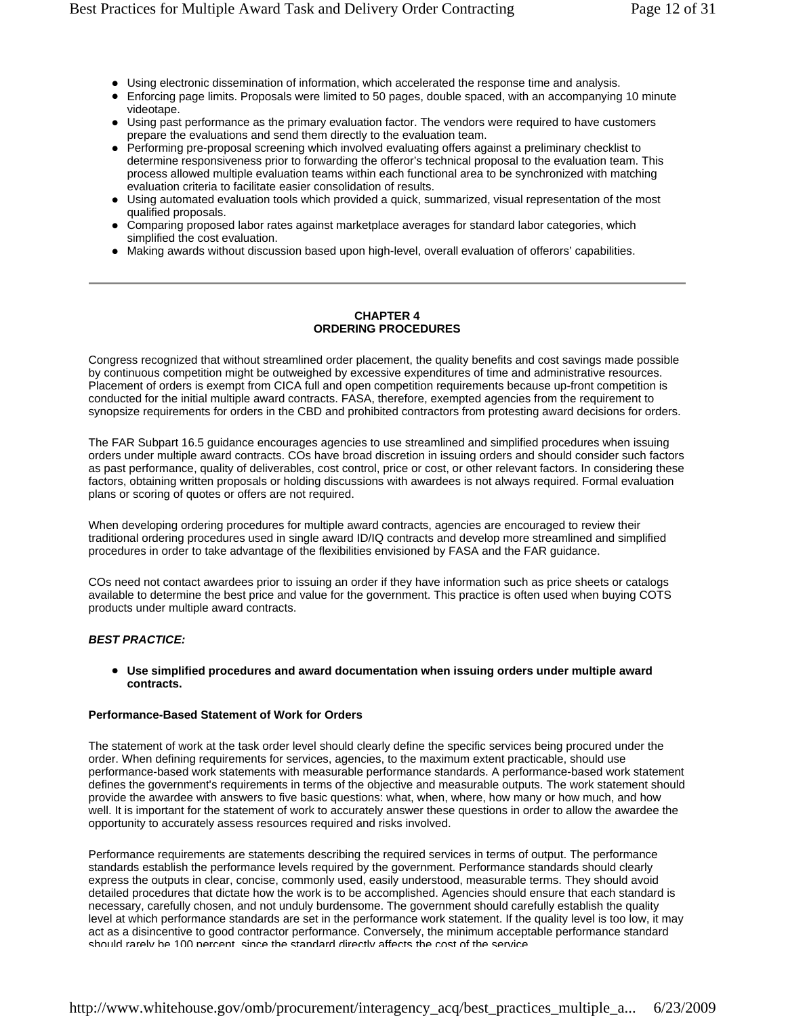- Using electronic dissemination of information, which accelerated the response time and analysis.
- Enforcing page limits. Proposals were limited to 50 pages, double spaced, with an accompanying 10 minute videotape.
- Using past performance as the primary evaluation factor. The vendors were required to have customers prepare the evaluations and send them directly to the evaluation team.
- Performing pre-proposal screening which involved evaluating offers against a preliminary checklist to determine responsiveness prior to forwarding the offeror's technical proposal to the evaluation team. This process allowed multiple evaluation teams within each functional area to be synchronized with matching evaluation criteria to facilitate easier consolidation of results.
- Using automated evaluation tools which provided a quick, summarized, visual representation of the most qualified proposals.
- Comparing proposed labor rates against marketplace averages for standard labor categories, which simplified the cost evaluation.
- Making awards without discussion based upon high-level, overall evaluation of offerors' capabilities.

#### **CHAPTER 4 ORDERING PROCEDURES**

Congress recognized that without streamlined order placement, the quality benefits and cost savings made possible by continuous competition might be outweighed by excessive expenditures of time and administrative resources. Placement of orders is exempt from CICA full and open competition requirements because up-front competition is conducted for the initial multiple award contracts. FASA, therefore, exempted agencies from the requirement to synopsize requirements for orders in the CBD and prohibited contractors from protesting award decisions for orders.

The FAR Subpart 16.5 guidance encourages agencies to use streamlined and simplified procedures when issuing orders under multiple award contracts. COs have broad discretion in issuing orders and should consider such factors as past performance, quality of deliverables, cost control, price or cost, or other relevant factors. In considering these factors, obtaining written proposals or holding discussions with awardees is not always required. Formal evaluation plans or scoring of quotes or offers are not required.

When developing ordering procedures for multiple award contracts, agencies are encouraged to review their traditional ordering procedures used in single award ID/IQ contracts and develop more streamlined and simplified procedures in order to take advantage of the flexibilities envisioned by FASA and the FAR guidance.

COs need not contact awardees prior to issuing an order if they have information such as price sheets or catalogs available to determine the best price and value for the government. This practice is often used when buying COTS products under multiple award contracts.

#### *BEST PRACTICE:*

#### **• Use simplified procedures and award documentation when issuing orders under multiple award contracts.**

#### **Performance-Based Statement of Work for Orders**

The statement of work at the task order level should clearly define the specific services being procured under the order. When defining requirements for services, agencies, to the maximum extent practicable, should use performance-based work statements with measurable performance standards. A performance-based work statement defines the government's requirements in terms of the objective and measurable outputs. The work statement should provide the awardee with answers to five basic questions: what, when, where, how many or how much, and how well. It is important for the statement of work to accurately answer these questions in order to allow the awardee the opportunity to accurately assess resources required and risks involved.

Performance requirements are statements describing the required services in terms of output. The performance standards establish the performance levels required by the government. Performance standards should clearly express the outputs in clear, concise, commonly used, easily understood, measurable terms. They should avoid detailed procedures that dictate how the work is to be accomplished. Agencies should ensure that each standard is necessary, carefully chosen, and not unduly burdensome. The government should carefully establish the quality level at which performance standards are set in the performance work statement. If the quality level is too low, it may act as a disincentive to good contractor performance. Conversely, the minimum acceptable performance standard should rarely be 100 percent since the standard directly affects the cost of the service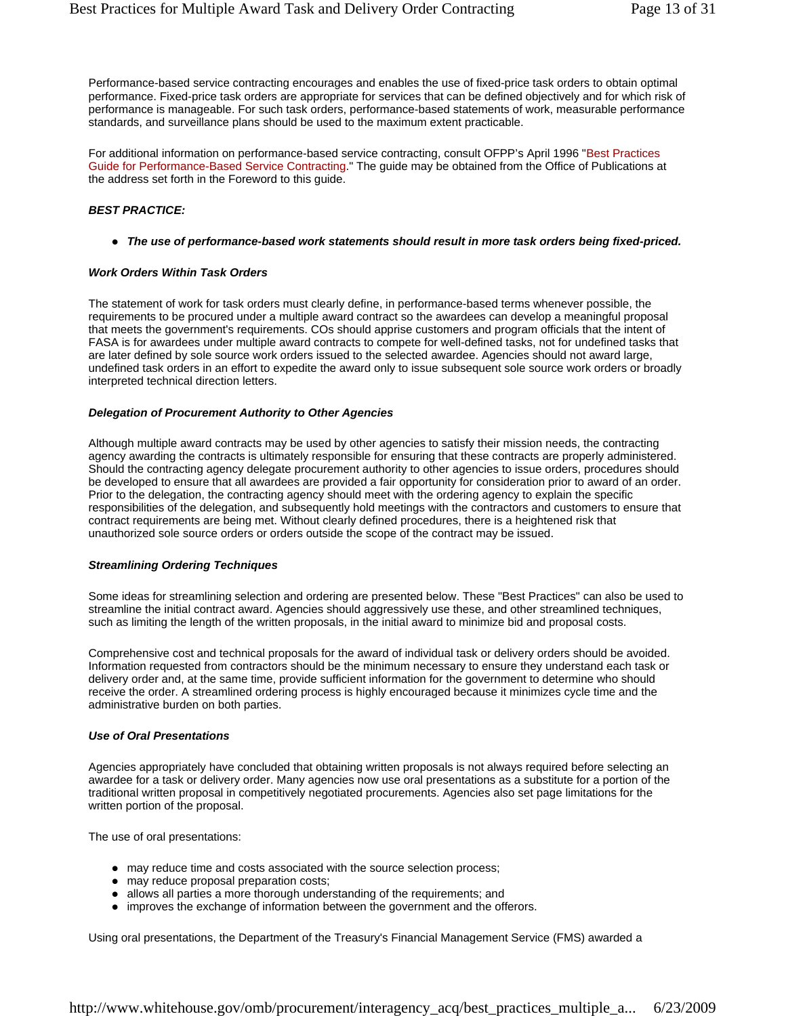Performance-based service contracting encourages and enables the use of fixed-price task orders to obtain optimal performance. Fixed-price task orders are appropriate for services that can be defined objectively and for which risk of performance is manageable. For such task orders, performance-based statements of work, measurable performance standards, and surveillance plans should be used to the maximum extent practicable.

For additional information on performance-based service contracting, consult OFPP's April 1996 "Best Practices Guide for Performance-Based Service Contracting." The guide may be obtained from the Office of Publications at the address set forth in the Foreword to this guide.

#### *BEST PRACTICE:*

• The use of performance-based work statements should result in more task orders being fixed-priced.

#### *Work Orders Within Task Orders*

The statement of work for task orders must clearly define, in performance-based terms whenever possible, the requirements to be procured under a multiple award contract so the awardees can develop a meaningful proposal that meets the government's requirements. COs should apprise customers and program officials that the intent of FASA is for awardees under multiple award contracts to compete for well-defined tasks, not for undefined tasks that are later defined by sole source work orders issued to the selected awardee. Agencies should not award large, undefined task orders in an effort to expedite the award only to issue subsequent sole source work orders or broadly interpreted technical direction letters.

#### *Delegation of Procurement Authority to Other Agencies*

Although multiple award contracts may be used by other agencies to satisfy their mission needs, the contracting agency awarding the contracts is ultimately responsible for ensuring that these contracts are properly administered. Should the contracting agency delegate procurement authority to other agencies to issue orders, procedures should be developed to ensure that all awardees are provided a fair opportunity for consideration prior to award of an order. Prior to the delegation, the contracting agency should meet with the ordering agency to explain the specific responsibilities of the delegation, and subsequently hold meetings with the contractors and customers to ensure that contract requirements are being met. Without clearly defined procedures, there is a heightened risk that unauthorized sole source orders or orders outside the scope of the contract may be issued.

#### *Streamlining Ordering Techniques*

Some ideas for streamlining selection and ordering are presented below. These "Best Practices" can also be used to streamline the initial contract award. Agencies should aggressively use these, and other streamlined techniques, such as limiting the length of the written proposals, in the initial award to minimize bid and proposal costs.

Comprehensive cost and technical proposals for the award of individual task or delivery orders should be avoided. Information requested from contractors should be the minimum necessary to ensure they understand each task or delivery order and, at the same time, provide sufficient information for the government to determine who should receive the order. A streamlined ordering process is highly encouraged because it minimizes cycle time and the administrative burden on both parties.

#### *Use of Oral Presentations*

Agencies appropriately have concluded that obtaining written proposals is not always required before selecting an awardee for a task or delivery order. Many agencies now use oral presentations as a substitute for a portion of the traditional written proposal in competitively negotiated procurements. Agencies also set page limitations for the written portion of the proposal.

The use of oral presentations:

- may reduce time and costs associated with the source selection process;
- may reduce proposal preparation costs;
- allows all parties a more thorough understanding of the requirements; and
- improves the exchange of information between the government and the offerors.

Using oral presentations, the Department of the Treasury's Financial Management Service (FMS) awarded a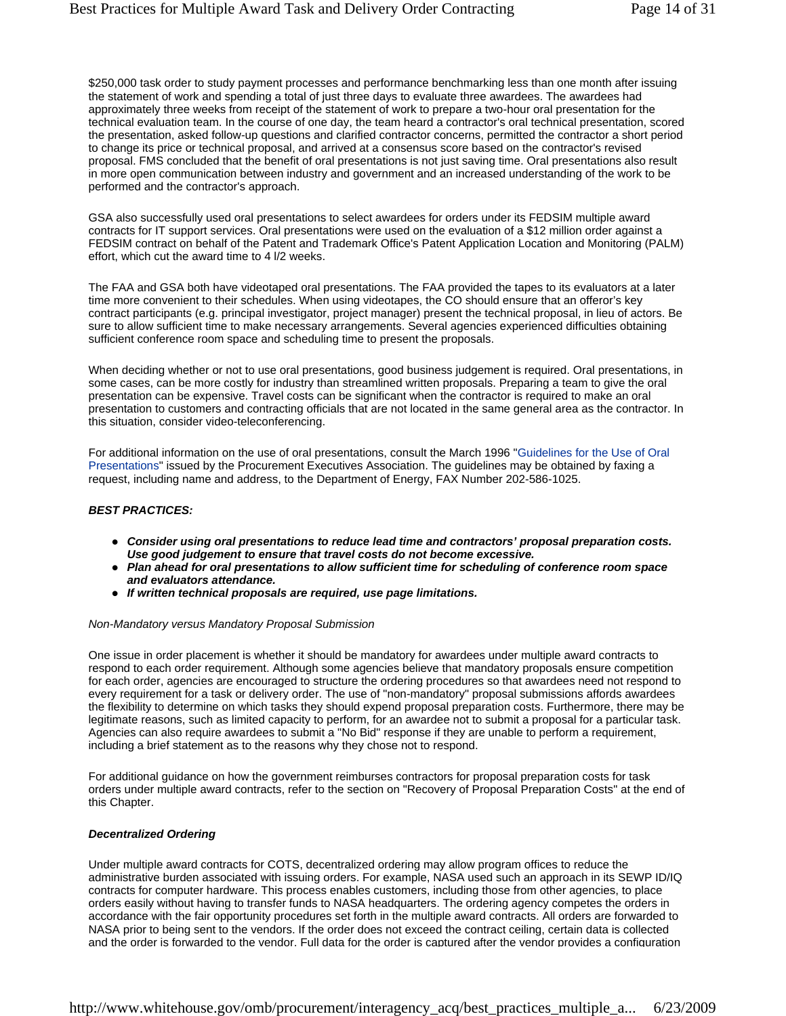\$250,000 task order to study payment processes and performance benchmarking less than one month after issuing the statement of work and spending a total of just three days to evaluate three awardees. The awardees had approximately three weeks from receipt of the statement of work to prepare a two-hour oral presentation for the technical evaluation team. In the course of one day, the team heard a contractor's oral technical presentation, scored the presentation, asked follow-up questions and clarified contractor concerns, permitted the contractor a short period to change its price or technical proposal, and arrived at a consensus score based on the contractor's revised proposal. FMS concluded that the benefit of oral presentations is not just saving time. Oral presentations also result in more open communication between industry and government and an increased understanding of the work to be performed and the contractor's approach.

GSA also successfully used oral presentations to select awardees for orders under its FEDSIM multiple award contracts for IT support services. Oral presentations were used on the evaluation of a \$12 million order against a FEDSIM contract on behalf of the Patent and Trademark Office's Patent Application Location and Monitoring (PALM) effort, which cut the award time to 4 l/2 weeks.

The FAA and GSA both have videotaped oral presentations. The FAA provided the tapes to its evaluators at a later time more convenient to their schedules. When using videotapes, the CO should ensure that an offeror's key contract participants (e.g. principal investigator, project manager) present the technical proposal, in lieu of actors. Be sure to allow sufficient time to make necessary arrangements. Several agencies experienced difficulties obtaining sufficient conference room space and scheduling time to present the proposals.

When deciding whether or not to use oral presentations, good business judgement is required. Oral presentations, in some cases, can be more costly for industry than streamlined written proposals. Preparing a team to give the oral presentation can be expensive. Travel costs can be significant when the contractor is required to make an oral presentation to customers and contracting officials that are not located in the same general area as the contractor. In this situation, consider video-teleconferencing.

For additional information on the use of oral presentations, consult the March 1996 "Guidelines for the Use of Oral Presentations" issued by the Procurement Executives Association. The guidelines may be obtained by faxing a request, including name and address, to the Department of Energy, FAX Number 202-586-1025.

#### *BEST PRACTICES:*

- Consider using oral presentations to reduce lead time and contractors' proposal preparation costs. *Use good judgement to ensure that travel costs do not become excessive.*
- **Plan ahead for oral presentations to allow sufficient time for scheduling of conference room space** *and evaluators attendance.*
- **•** If written technical proposals are required, use page limitations.

#### *Non-Mandatory versus Mandatory Proposal Submission*

One issue in order placement is whether it should be mandatory for awardees under multiple award contracts to respond to each order requirement. Although some agencies believe that mandatory proposals ensure competition for each order, agencies are encouraged to structure the ordering procedures so that awardees need not respond to every requirement for a task or delivery order. The use of "non-mandatory" proposal submissions affords awardees the flexibility to determine on which tasks they should expend proposal preparation costs. Furthermore, there may be legitimate reasons, such as limited capacity to perform, for an awardee not to submit a proposal for a particular task. Agencies can also require awardees to submit a "No Bid" response if they are unable to perform a requirement, including a brief statement as to the reasons why they chose not to respond.

For additional guidance on how the government reimburses contractors for proposal preparation costs for task orders under multiple award contracts, refer to the section on "Recovery of Proposal Preparation Costs" at the end of this Chapter.

#### *Decentralized Ordering*

Under multiple award contracts for COTS, decentralized ordering may allow program offices to reduce the administrative burden associated with issuing orders. For example, NASA used such an approach in its SEWP ID/IQ contracts for computer hardware. This process enables customers, including those from other agencies, to place orders easily without having to transfer funds to NASA headquarters. The ordering agency competes the orders in accordance with the fair opportunity procedures set forth in the multiple award contracts. All orders are forwarded to NASA prior to being sent to the vendors. If the order does not exceed the contract ceiling, certain data is collected and the order is forwarded to the vendor. Full data for the order is captured after the vendor provides a configuration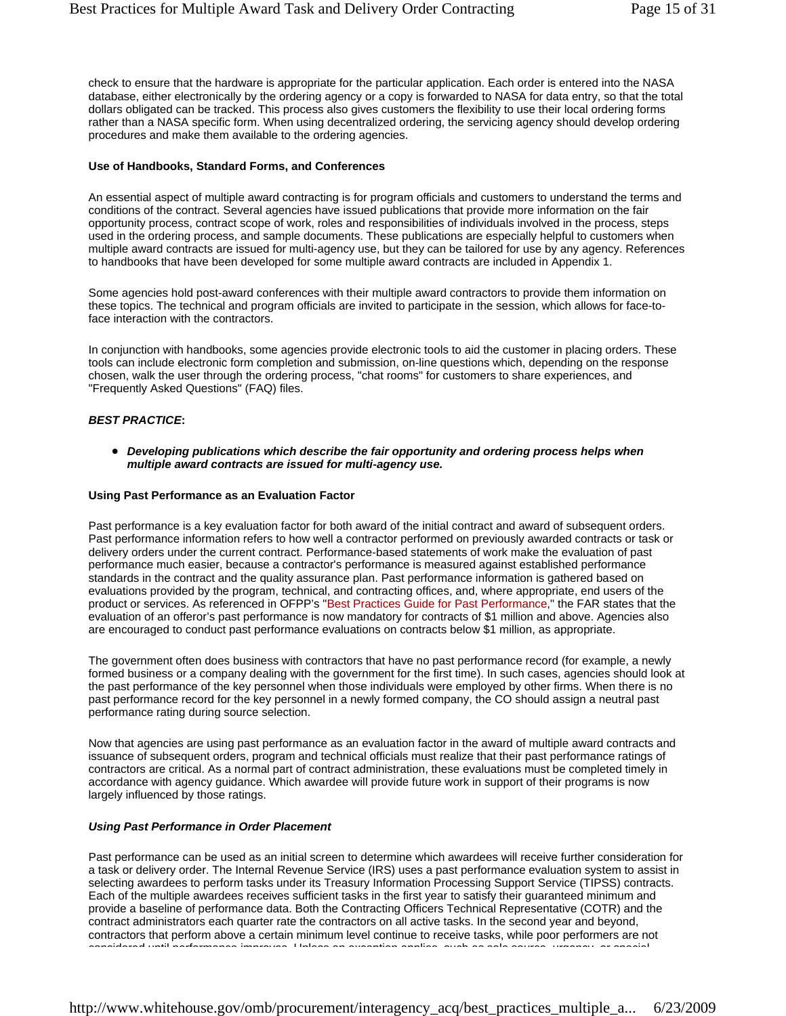check to ensure that the hardware is appropriate for the particular application. Each order is entered into the NASA database, either electronically by the ordering agency or a copy is forwarded to NASA for data entry, so that the total dollars obligated can be tracked. This process also gives customers the flexibility to use their local ordering forms rather than a NASA specific form. When using decentralized ordering, the servicing agency should develop ordering procedures and make them available to the ordering agencies.

#### **Use of Handbooks, Standard Forms, and Conferences**

An essential aspect of multiple award contracting is for program officials and customers to understand the terms and conditions of the contract. Several agencies have issued publications that provide more information on the fair opportunity process, contract scope of work, roles and responsibilities of individuals involved in the process, steps used in the ordering process, and sample documents. These publications are especially helpful to customers when multiple award contracts are issued for multi-agency use, but they can be tailored for use by any agency. References to handbooks that have been developed for some multiple award contracts are included in Appendix 1.

Some agencies hold post-award conferences with their multiple award contractors to provide them information on these topics. The technical and program officials are invited to participate in the session, which allows for face-toface interaction with the contractors.

In conjunction with handbooks, some agencies provide electronic tools to aid the customer in placing orders. These tools can include electronic form completion and submission, on-line questions which, depending on the response chosen, walk the user through the ordering process, "chat rooms" for customers to share experiences, and "Frequently Asked Questions" (FAQ) files.

#### *BEST PRACTICE***:**

**•** Developing publications which describe the fair opportunity and ordering process helps when *multiple award contracts are issued for multi-agency use.*

#### **Using Past Performance as an Evaluation Factor**

Past performance is a key evaluation factor for both award of the initial contract and award of subsequent orders. Past performance information refers to how well a contractor performed on previously awarded contracts or task or delivery orders under the current contract. Performance-based statements of work make the evaluation of past performance much easier, because a contractor's performance is measured against established performance standards in the contract and the quality assurance plan. Past performance information is gathered based on evaluations provided by the program, technical, and contracting offices, and, where appropriate, end users of the product or services. As referenced in OFPP's "Best Practices Guide for Past Performance," the FAR states that the evaluation of an offeror's past performance is now mandatory for contracts of \$1 million and above. Agencies also are encouraged to conduct past performance evaluations on contracts below \$1 million, as appropriate.

The government often does business with contractors that have no past performance record (for example, a newly formed business or a company dealing with the government for the first time). In such cases, agencies should look at the past performance of the key personnel when those individuals were employed by other firms. When there is no past performance record for the key personnel in a newly formed company, the CO should assign a neutral past performance rating during source selection.

Now that agencies are using past performance as an evaluation factor in the award of multiple award contracts and issuance of subsequent orders, program and technical officials must realize that their past performance ratings of contractors are critical. As a normal part of contract administration, these evaluations must be completed timely in accordance with agency guidance. Which awardee will provide future work in support of their programs is now largely influenced by those ratings.

#### *Using Past Performance in Order Placement*

Past performance can be used as an initial screen to determine which awardees will receive further consideration for a task or delivery order. The Internal Revenue Service (IRS) uses a past performance evaluation system to assist in selecting awardees to perform tasks under its Treasury Information Processing Support Service (TIPSS) contracts. Each of the multiple awardees receives sufficient tasks in the first year to satisfy their guaranteed minimum and provide a baseline of performance data. Both the Contracting Officers Technical Representative (COTR) and the contract administrators each quarter rate the contractors on all active tasks. In the second year and beyond, contractors that perform above a certain minimum level continue to receive tasks, while poor performers are not considered until performance improves Unless an exception applies such as sole source urgency or special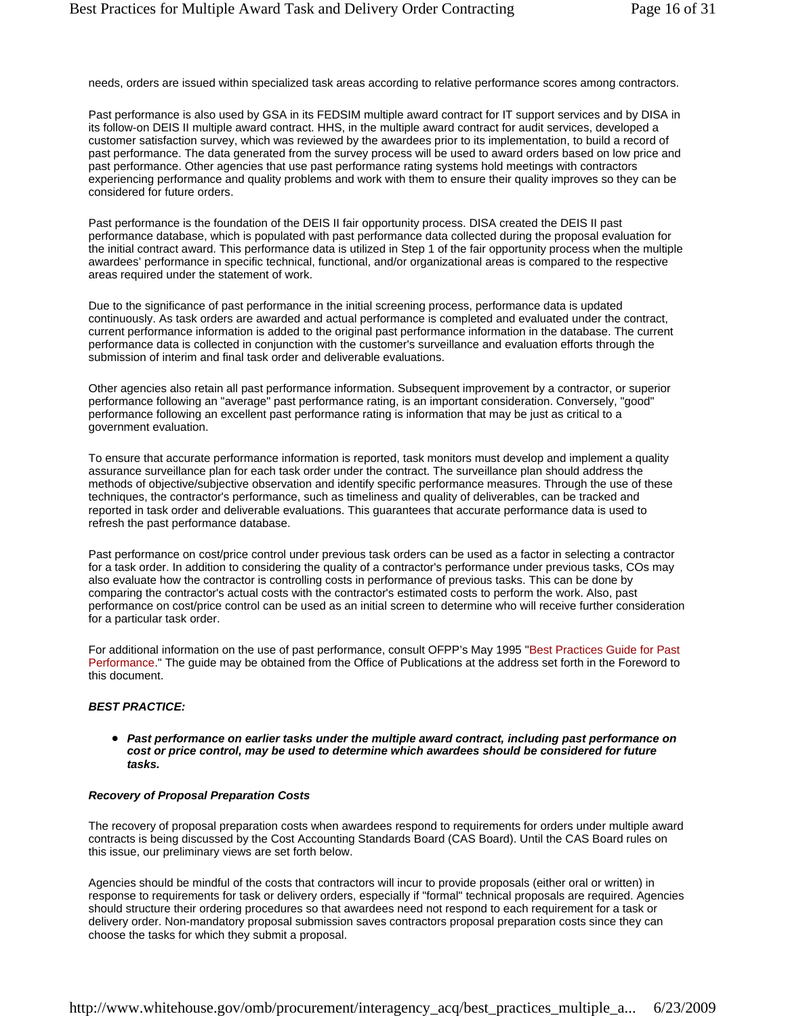needs, orders are issued within specialized task areas according to relative performance scores among contractors.

Past performance is also used by GSA in its FEDSIM multiple award contract for IT support services and by DISA in its follow-on DEIS II multiple award contract. HHS, in the multiple award contract for audit services, developed a customer satisfaction survey, which was reviewed by the awardees prior to its implementation, to build a record of past performance. The data generated from the survey process will be used to award orders based on low price and past performance. Other agencies that use past performance rating systems hold meetings with contractors experiencing performance and quality problems and work with them to ensure their quality improves so they can be considered for future orders.

Past performance is the foundation of the DEIS II fair opportunity process. DISA created the DEIS II past performance database, which is populated with past performance data collected during the proposal evaluation for the initial contract award. This performance data is utilized in Step 1 of the fair opportunity process when the multiple awardees' performance in specific technical, functional, and/or organizational areas is compared to the respective areas required under the statement of work.

Due to the significance of past performance in the initial screening process, performance data is updated continuously. As task orders are awarded and actual performance is completed and evaluated under the contract, current performance information is added to the original past performance information in the database. The current performance data is collected in conjunction with the customer's surveillance and evaluation efforts through the submission of interim and final task order and deliverable evaluations.

Other agencies also retain all past performance information. Subsequent improvement by a contractor, or superior performance following an "average" past performance rating, is an important consideration. Conversely, "good" performance following an excellent past performance rating is information that may be just as critical to a government evaluation.

To ensure that accurate performance information is reported, task monitors must develop and implement a quality assurance surveillance plan for each task order under the contract. The surveillance plan should address the methods of objective/subjective observation and identify specific performance measures. Through the use of these techniques, the contractor's performance, such as timeliness and quality of deliverables, can be tracked and reported in task order and deliverable evaluations. This guarantees that accurate performance data is used to refresh the past performance database.

Past performance on cost/price control under previous task orders can be used as a factor in selecting a contractor for a task order. In addition to considering the quality of a contractor's performance under previous tasks, COs may also evaluate how the contractor is controlling costs in performance of previous tasks. This can be done by comparing the contractor's actual costs with the contractor's estimated costs to perform the work. Also, past performance on cost/price control can be used as an initial screen to determine who will receive further consideration for a particular task order.

For additional information on the use of past performance, consult OFPP's May 1995 "Best Practices Guide for Past Performance." The guide may be obtained from the Office of Publications at the address set forth in the Foreword to this document.

#### *BEST PRACTICE:*

• Past performance on earlier tasks under the multiple award contract, including past performance on *cost or price control, may be used to determine which awardees should be considered for future tasks.*

#### *Recovery of Proposal Preparation Costs*

The recovery of proposal preparation costs when awardees respond to requirements for orders under multiple award contracts is being discussed by the Cost Accounting Standards Board (CAS Board). Until the CAS Board rules on this issue, our preliminary views are set forth below.

Agencies should be mindful of the costs that contractors will incur to provide proposals (either oral or written) in response to requirements for task or delivery orders, especially if "formal" technical proposals are required. Agencies should structure their ordering procedures so that awardees need not respond to each requirement for a task or delivery order. Non-mandatory proposal submission saves contractors proposal preparation costs since they can choose the tasks for which they submit a proposal.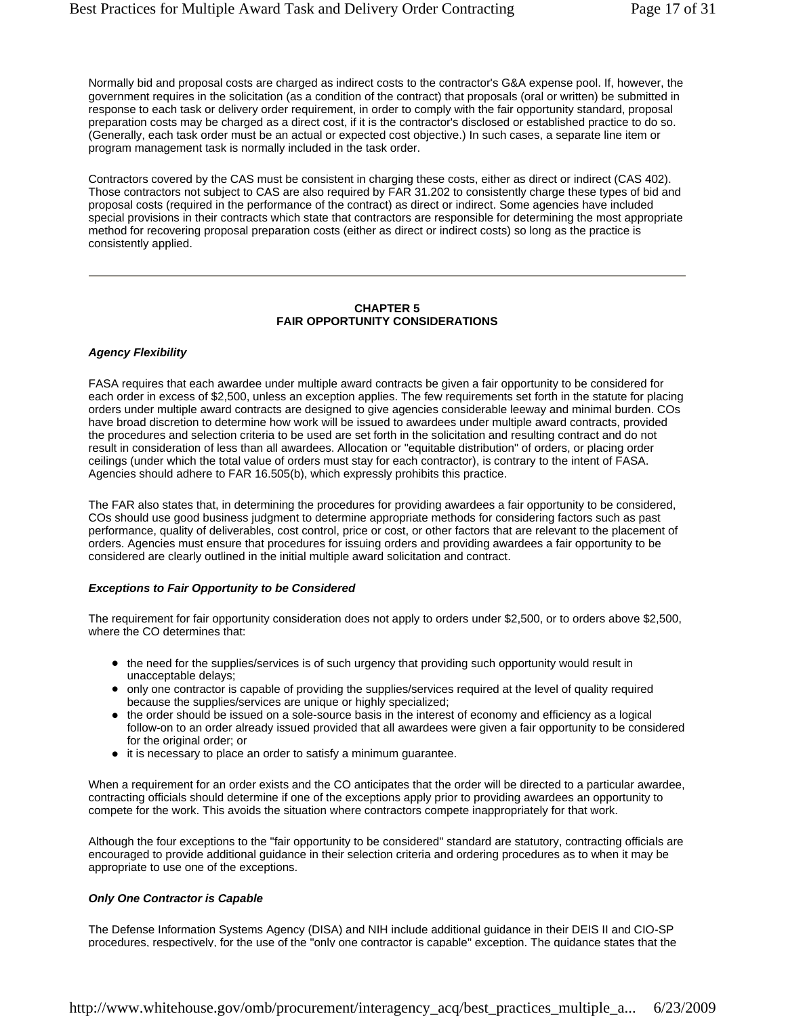Normally bid and proposal costs are charged as indirect costs to the contractor's G&A expense pool. If, however, the government requires in the solicitation (as a condition of the contract) that proposals (oral or written) be submitted in response to each task or delivery order requirement, in order to comply with the fair opportunity standard, proposal preparation costs may be charged as a direct cost, if it is the contractor's disclosed or established practice to do so. (Generally, each task order must be an actual or expected cost objective.) In such cases, a separate line item or program management task is normally included in the task order.

Contractors covered by the CAS must be consistent in charging these costs, either as direct or indirect (CAS 402). Those contractors not subject to CAS are also required by FAR 31.202 to consistently charge these types of bid and proposal costs (required in the performance of the contract) as direct or indirect. Some agencies have included special provisions in their contracts which state that contractors are responsible for determining the most appropriate method for recovering proposal preparation costs (either as direct or indirect costs) so long as the practice is consistently applied.

#### **CHAPTER 5 FAIR OPPORTUNITY CONSIDERATIONS**

#### *Agency Flexibility*

FASA requires that each awardee under multiple award contracts be given a fair opportunity to be considered for each order in excess of \$2,500, unless an exception applies. The few requirements set forth in the statute for placing orders under multiple award contracts are designed to give agencies considerable leeway and minimal burden. COs have broad discretion to determine how work will be issued to awardees under multiple award contracts, provided the procedures and selection criteria to be used are set forth in the solicitation and resulting contract and do not result in consideration of less than all awardees. Allocation or "equitable distribution" of orders, or placing order ceilings (under which the total value of orders must stay for each contractor), is contrary to the intent of FASA. Agencies should adhere to FAR 16.505(b), which expressly prohibits this practice.

The FAR also states that, in determining the procedures for providing awardees a fair opportunity to be considered, COs should use good business judgment to determine appropriate methods for considering factors such as past performance, quality of deliverables, cost control, price or cost, or other factors that are relevant to the placement of orders. Agencies must ensure that procedures for issuing orders and providing awardees a fair opportunity to be considered are clearly outlined in the initial multiple award solicitation and contract.

#### *Exceptions to Fair Opportunity to be Considered*

The requirement for fair opportunity consideration does not apply to orders under \$2,500, or to orders above \$2,500, where the CO determines that:

- the need for the supplies/services is of such urgency that providing such opportunity would result in unacceptable delays;
- only one contractor is capable of providing the supplies/services required at the level of quality required because the supplies/services are unique or highly specialized;
- the order should be issued on a sole-source basis in the interest of economy and efficiency as a logical follow-on to an order already issued provided that all awardees were given a fair opportunity to be considered for the original order; or
- $\bullet$  it is necessary to place an order to satisfy a minimum guarantee.

When a requirement for an order exists and the CO anticipates that the order will be directed to a particular awardee, contracting officials should determine if one of the exceptions apply prior to providing awardees an opportunity to compete for the work. This avoids the situation where contractors compete inappropriately for that work.

Although the four exceptions to the "fair opportunity to be considered" standard are statutory, contracting officials are encouraged to provide additional guidance in their selection criteria and ordering procedures as to when it may be appropriate to use one of the exceptions.

#### *Only One Contractor is Capable*

The Defense Information Systems Agency (DISA) and NIH include additional guidance in their DEIS II and CIO-SP procedures, respectively, for the use of the "only one contractor is capable" exception. The guidance states that the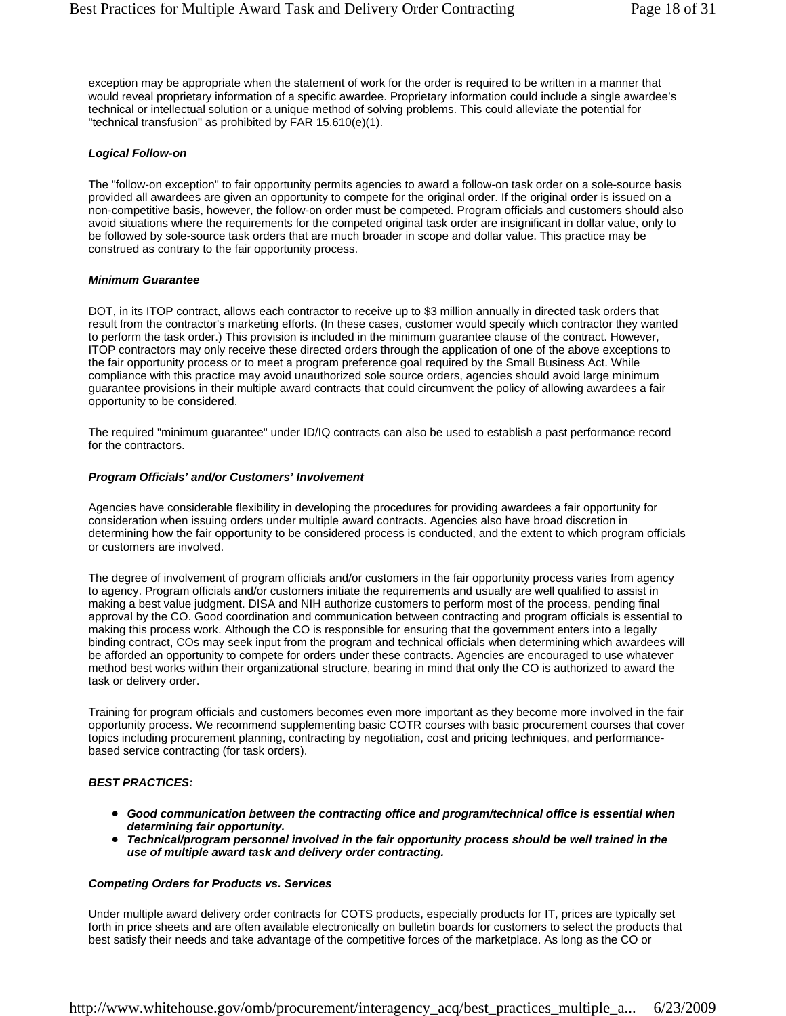exception may be appropriate when the statement of work for the order is required to be written in a manner that would reveal proprietary information of a specific awardee. Proprietary information could include a single awardee's technical or intellectual solution or a unique method of solving problems. This could alleviate the potential for "technical transfusion" as prohibited by FAR 15.610(e)(1).

#### *Logical Follow-on*

The "follow-on exception" to fair opportunity permits agencies to award a follow-on task order on a sole-source basis provided all awardees are given an opportunity to compete for the original order. If the original order is issued on a non-competitive basis, however, the follow-on order must be competed. Program officials and customers should also avoid situations where the requirements for the competed original task order are insignificant in dollar value, only to be followed by sole-source task orders that are much broader in scope and dollar value. This practice may be construed as contrary to the fair opportunity process.

#### *Minimum Guarantee*

DOT, in its ITOP contract, allows each contractor to receive up to \$3 million annually in directed task orders that result from the contractor's marketing efforts. (In these cases, customer would specify which contractor they wanted to perform the task order.) This provision is included in the minimum guarantee clause of the contract. However, ITOP contractors may only receive these directed orders through the application of one of the above exceptions to the fair opportunity process or to meet a program preference goal required by the Small Business Act. While compliance with this practice may avoid unauthorized sole source orders, agencies should avoid large minimum guarantee provisions in their multiple award contracts that could circumvent the policy of allowing awardees a fair opportunity to be considered.

The required "minimum guarantee" under ID/IQ contracts can also be used to establish a past performance record for the contractors.

#### *Program Officials' and/or Customers' Involvement*

Agencies have considerable flexibility in developing the procedures for providing awardees a fair opportunity for consideration when issuing orders under multiple award contracts. Agencies also have broad discretion in determining how the fair opportunity to be considered process is conducted, and the extent to which program officials or customers are involved.

The degree of involvement of program officials and/or customers in the fair opportunity process varies from agency to agency. Program officials and/or customers initiate the requirements and usually are well qualified to assist in making a best value judgment. DISA and NIH authorize customers to perform most of the process, pending final approval by the CO. Good coordination and communication between contracting and program officials is essential to making this process work. Although the CO is responsible for ensuring that the government enters into a legally binding contract, COs may seek input from the program and technical officials when determining which awardees will be afforded an opportunity to compete for orders under these contracts. Agencies are encouraged to use whatever method best works within their organizational structure, bearing in mind that only the CO is authorized to award the task or delivery order.

Training for program officials and customers becomes even more important as they become more involved in the fair opportunity process. We recommend supplementing basic COTR courses with basic procurement courses that cover topics including procurement planning, contracting by negotiation, cost and pricing techniques, and performancebased service contracting (for task orders).

#### *BEST PRACTICES:*

- Good communication between the contracting office and program/technical office is essential when *determining fair opportunity.*
- Technical/program personnel involved in the fair opportunity process should be well trained in the *use of multiple award task and delivery order contracting.*

#### *Competing Orders for Products vs. Services*

Under multiple award delivery order contracts for COTS products, especially products for IT, prices are typically set forth in price sheets and are often available electronically on bulletin boards for customers to select the products that best satisfy their needs and take advantage of the competitive forces of the marketplace. As long as the CO or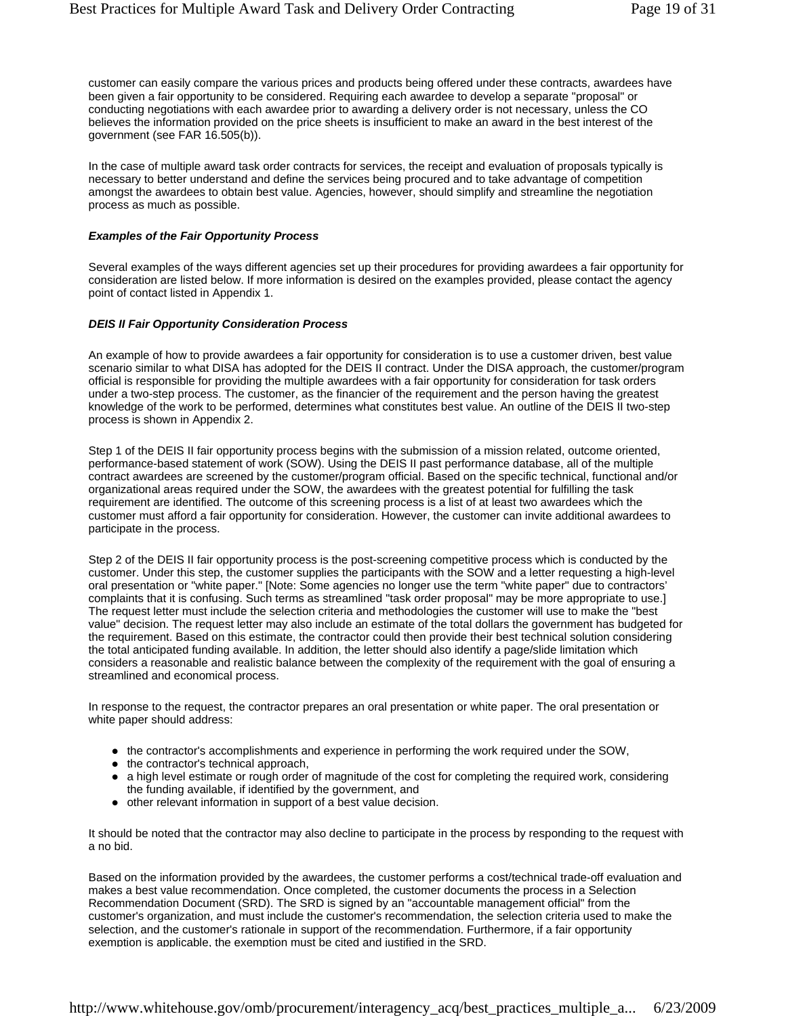customer can easily compare the various prices and products being offered under these contracts, awardees have been given a fair opportunity to be considered. Requiring each awardee to develop a separate "proposal" or conducting negotiations with each awardee prior to awarding a delivery order is not necessary, unless the CO believes the information provided on the price sheets is insufficient to make an award in the best interest of the government (see FAR 16.505(b)).

In the case of multiple award task order contracts for services, the receipt and evaluation of proposals typically is necessary to better understand and define the services being procured and to take advantage of competition amongst the awardees to obtain best value. Agencies, however, should simplify and streamline the negotiation process as much as possible.

#### *Examples of the Fair Opportunity Process*

Several examples of the ways different agencies set up their procedures for providing awardees a fair opportunity for consideration are listed below. If more information is desired on the examples provided, please contact the agency point of contact listed in Appendix 1.

#### *DEIS II Fair Opportunity Consideration Process*

An example of how to provide awardees a fair opportunity for consideration is to use a customer driven, best value scenario similar to what DISA has adopted for the DEIS II contract. Under the DISA approach, the customer/program official is responsible for providing the multiple awardees with a fair opportunity for consideration for task orders under a two-step process. The customer, as the financier of the requirement and the person having the greatest knowledge of the work to be performed, determines what constitutes best value. An outline of the DEIS II two-step process is shown in Appendix 2.

Step 1 of the DEIS II fair opportunity process begins with the submission of a mission related, outcome oriented, performance-based statement of work (SOW). Using the DEIS II past performance database, all of the multiple contract awardees are screened by the customer/program official. Based on the specific technical, functional and/or organizational areas required under the SOW, the awardees with the greatest potential for fulfilling the task requirement are identified. The outcome of this screening process is a list of at least two awardees which the customer must afford a fair opportunity for consideration. However, the customer can invite additional awardees to participate in the process.

Step 2 of the DEIS II fair opportunity process is the post-screening competitive process which is conducted by the customer. Under this step, the customer supplies the participants with the SOW and a letter requesting a high-level oral presentation or "white paper." [Note: Some agencies no longer use the term "white paper" due to contractors' complaints that it is confusing. Such terms as streamlined "task order proposal" may be more appropriate to use.] The request letter must include the selection criteria and methodologies the customer will use to make the "best value" decision. The request letter may also include an estimate of the total dollars the government has budgeted for the requirement. Based on this estimate, the contractor could then provide their best technical solution considering the total anticipated funding available. In addition, the letter should also identify a page/slide limitation which considers a reasonable and realistic balance between the complexity of the requirement with the goal of ensuring a streamlined and economical process.

In response to the request, the contractor prepares an oral presentation or white paper. The oral presentation or white paper should address:

- the contractor's accomplishments and experience in performing the work required under the SOW,
- $\bullet$  the contractor's technical approach,
- a high level estimate or rough order of magnitude of the cost for completing the required work, considering the funding available, if identified by the government, and
- other relevant information in support of a best value decision.

It should be noted that the contractor may also decline to participate in the process by responding to the request with a no bid.

Based on the information provided by the awardees, the customer performs a cost/technical trade-off evaluation and makes a best value recommendation. Once completed, the customer documents the process in a Selection Recommendation Document (SRD). The SRD is signed by an "accountable management official" from the customer's organization, and must include the customer's recommendation, the selection criteria used to make the selection, and the customer's rationale in support of the recommendation. Furthermore, if a fair opportunity exemption is applicable, the exemption must be cited and justified in the SRD.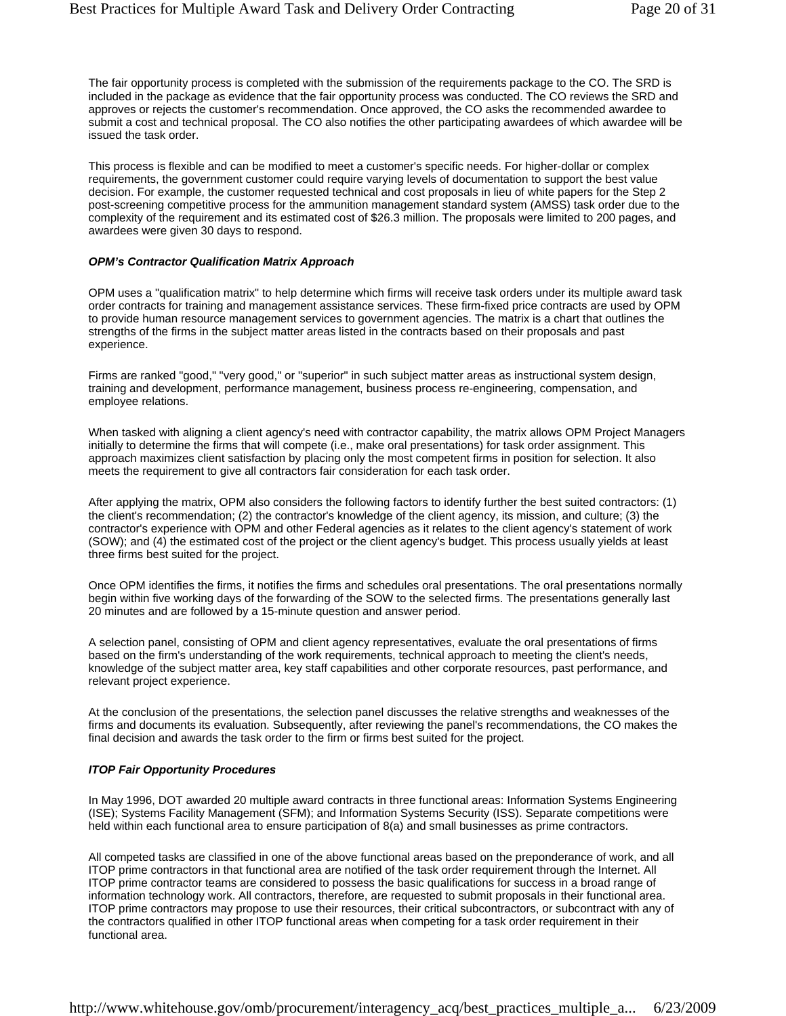The fair opportunity process is completed with the submission of the requirements package to the CO. The SRD is included in the package as evidence that the fair opportunity process was conducted. The CO reviews the SRD and approves or rejects the customer's recommendation. Once approved, the CO asks the recommended awardee to submit a cost and technical proposal. The CO also notifies the other participating awardees of which awardee will be issued the task order.

This process is flexible and can be modified to meet a customer's specific needs. For higher-dollar or complex requirements, the government customer could require varying levels of documentation to support the best value decision. For example, the customer requested technical and cost proposals in lieu of white papers for the Step 2 post-screening competitive process for the ammunition management standard system (AMSS) task order due to the complexity of the requirement and its estimated cost of \$26.3 million. The proposals were limited to 200 pages, and awardees were given 30 days to respond.

#### *OPM's Contractor Qualification Matrix Approach*

OPM uses a "qualification matrix" to help determine which firms will receive task orders under its multiple award task order contracts for training and management assistance services. These firm-fixed price contracts are used by OPM to provide human resource management services to government agencies. The matrix is a chart that outlines the strengths of the firms in the subject matter areas listed in the contracts based on their proposals and past experience.

Firms are ranked "good," "very good," or "superior" in such subject matter areas as instructional system design, training and development, performance management, business process re-engineering, compensation, and employee relations.

When tasked with aligning a client agency's need with contractor capability, the matrix allows OPM Project Managers initially to determine the firms that will compete (i.e., make oral presentations) for task order assignment. This approach maximizes client satisfaction by placing only the most competent firms in position for selection. It also meets the requirement to give all contractors fair consideration for each task order.

After applying the matrix, OPM also considers the following factors to identify further the best suited contractors: (1) the client's recommendation; (2) the contractor's knowledge of the client agency, its mission, and culture; (3) the contractor's experience with OPM and other Federal agencies as it relates to the client agency's statement of work (SOW); and (4) the estimated cost of the project or the client agency's budget. This process usually yields at least three firms best suited for the project.

Once OPM identifies the firms, it notifies the firms and schedules oral presentations. The oral presentations normally begin within five working days of the forwarding of the SOW to the selected firms. The presentations generally last 20 minutes and are followed by a 15-minute question and answer period.

A selection panel, consisting of OPM and client agency representatives, evaluate the oral presentations of firms based on the firm's understanding of the work requirements, technical approach to meeting the client's needs, knowledge of the subject matter area, key staff capabilities and other corporate resources, past performance, and relevant project experience.

At the conclusion of the presentations, the selection panel discusses the relative strengths and weaknesses of the firms and documents its evaluation. Subsequently, after reviewing the panel's recommendations, the CO makes the final decision and awards the task order to the firm or firms best suited for the project.

#### *ITOP Fair Opportunity Procedures*

In May 1996, DOT awarded 20 multiple award contracts in three functional areas: Information Systems Engineering (ISE); Systems Facility Management (SFM); and Information Systems Security (ISS). Separate competitions were held within each functional area to ensure participation of 8(a) and small businesses as prime contractors.

All competed tasks are classified in one of the above functional areas based on the preponderance of work, and all ITOP prime contractors in that functional area are notified of the task order requirement through the Internet. All ITOP prime contractor teams are considered to possess the basic qualifications for success in a broad range of information technology work. All contractors, therefore, are requested to submit proposals in their functional area. ITOP prime contractors may propose to use their resources, their critical subcontractors, or subcontract with any of the contractors qualified in other ITOP functional areas when competing for a task order requirement in their functional area.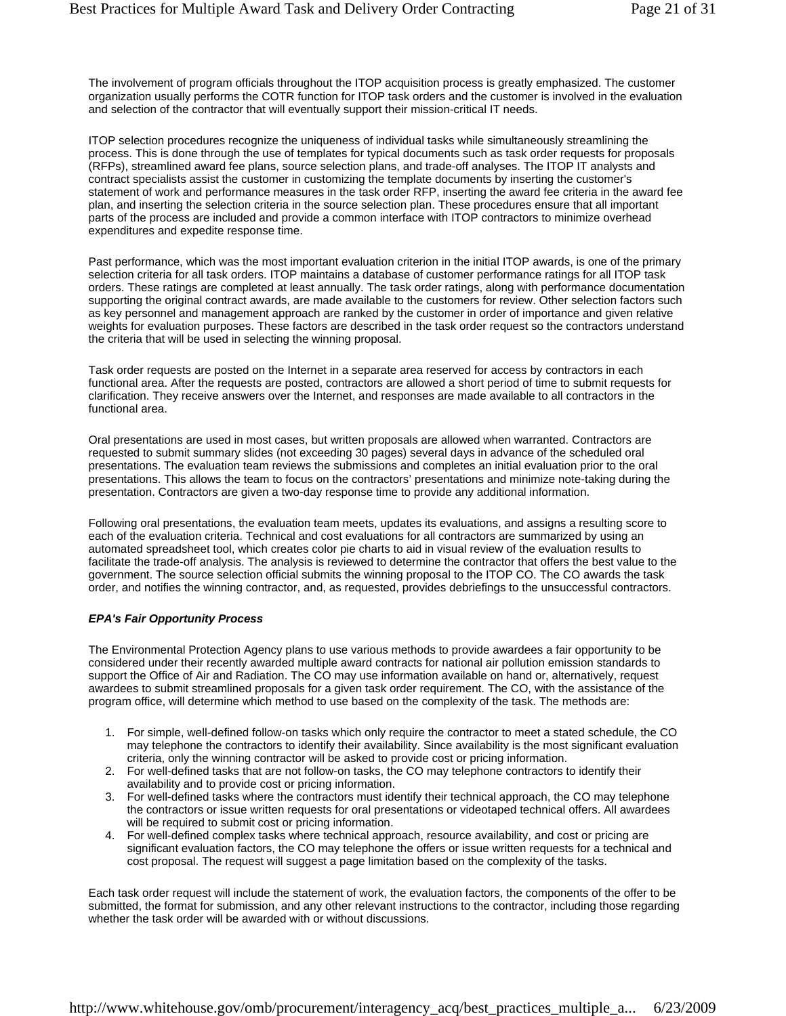The involvement of program officials throughout the ITOP acquisition process is greatly emphasized. The customer organization usually performs the COTR function for ITOP task orders and the customer is involved in the evaluation and selection of the contractor that will eventually support their mission-critical IT needs.

ITOP selection procedures recognize the uniqueness of individual tasks while simultaneously streamlining the process. This is done through the use of templates for typical documents such as task order requests for proposals (RFPs), streamlined award fee plans, source selection plans, and trade-off analyses. The ITOP IT analysts and contract specialists assist the customer in customizing the template documents by inserting the customer's statement of work and performance measures in the task order RFP, inserting the award fee criteria in the award fee plan, and inserting the selection criteria in the source selection plan. These procedures ensure that all important parts of the process are included and provide a common interface with ITOP contractors to minimize overhead expenditures and expedite response time.

Past performance, which was the most important evaluation criterion in the initial ITOP awards, is one of the primary selection criteria for all task orders. ITOP maintains a database of customer performance ratings for all ITOP task orders. These ratings are completed at least annually. The task order ratings, along with performance documentation supporting the original contract awards, are made available to the customers for review. Other selection factors such as key personnel and management approach are ranked by the customer in order of importance and given relative weights for evaluation purposes. These factors are described in the task order request so the contractors understand the criteria that will be used in selecting the winning proposal.

Task order requests are posted on the Internet in a separate area reserved for access by contractors in each functional area. After the requests are posted, contractors are allowed a short period of time to submit requests for clarification. They receive answers over the Internet, and responses are made available to all contractors in the functional area.

Oral presentations are used in most cases, but written proposals are allowed when warranted. Contractors are requested to submit summary slides (not exceeding 30 pages) several days in advance of the scheduled oral presentations. The evaluation team reviews the submissions and completes an initial evaluation prior to the oral presentations. This allows the team to focus on the contractors' presentations and minimize note-taking during the presentation. Contractors are given a two-day response time to provide any additional information.

Following oral presentations, the evaluation team meets, updates its evaluations, and assigns a resulting score to each of the evaluation criteria. Technical and cost evaluations for all contractors are summarized by using an automated spreadsheet tool, which creates color pie charts to aid in visual review of the evaluation results to facilitate the trade-off analysis. The analysis is reviewed to determine the contractor that offers the best value to the government. The source selection official submits the winning proposal to the ITOP CO. The CO awards the task order, and notifies the winning contractor, and, as requested, provides debriefings to the unsuccessful contractors.

#### *EPA's Fair Opportunity Process*

The Environmental Protection Agency plans to use various methods to provide awardees a fair opportunity to be considered under their recently awarded multiple award contracts for national air pollution emission standards to support the Office of Air and Radiation. The CO may use information available on hand or, alternatively, request awardees to submit streamlined proposals for a given task order requirement. The CO, with the assistance of the program office, will determine which method to use based on the complexity of the task. The methods are:

- 1. For simple, well-defined follow-on tasks which only require the contractor to meet a stated schedule, the CO may telephone the contractors to identify their availability. Since availability is the most significant evaluation criteria, only the winning contractor will be asked to provide cost or pricing information.
- 2. For well-defined tasks that are not follow-on tasks, the CO may telephone contractors to identify their availability and to provide cost or pricing information.
- 3. For well-defined tasks where the contractors must identify their technical approach, the CO may telephone the contractors or issue written requests for oral presentations or videotaped technical offers. All awardees will be required to submit cost or pricing information.
- 4. For well-defined complex tasks where technical approach, resource availability, and cost or pricing are significant evaluation factors, the CO may telephone the offers or issue written requests for a technical and cost proposal. The request will suggest a page limitation based on the complexity of the tasks.

Each task order request will include the statement of work, the evaluation factors, the components of the offer to be submitted, the format for submission, and any other relevant instructions to the contractor, including those regarding whether the task order will be awarded with or without discussions.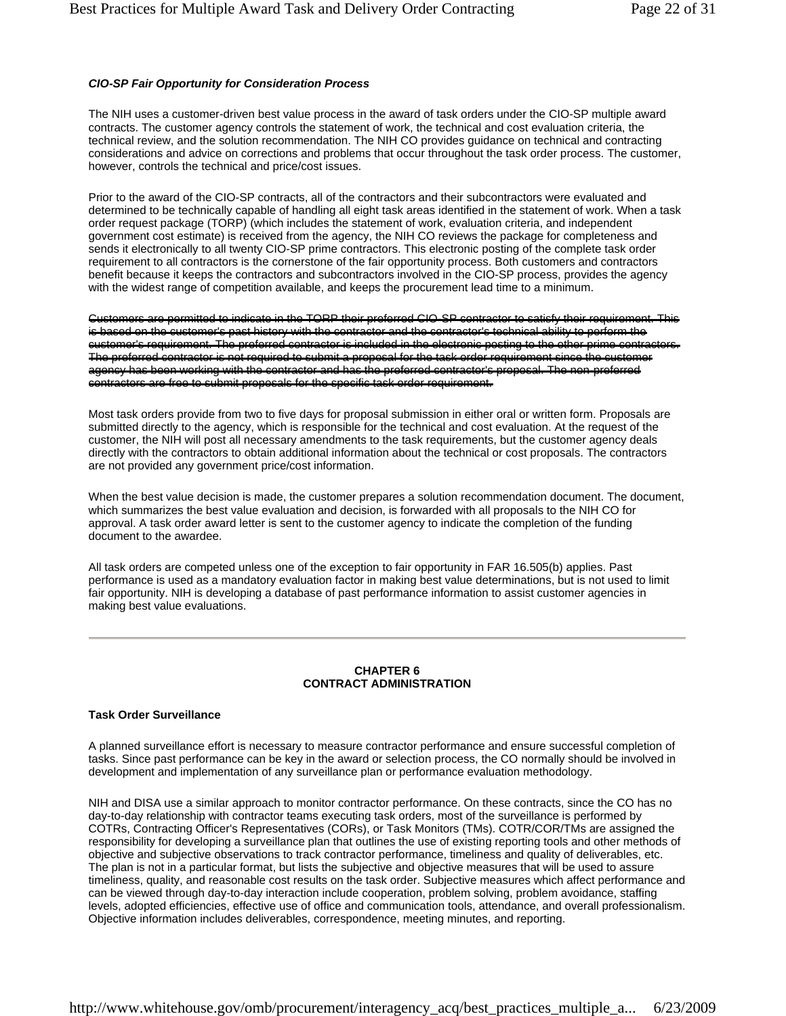#### *CIO-SP Fair Opportunity for Consideration Process*

The NIH uses a customer-driven best value process in the award of task orders under the CIO-SP multiple award contracts. The customer agency controls the statement of work, the technical and cost evaluation criteria, the technical review, and the solution recommendation. The NIH CO provides guidance on technical and contracting considerations and advice on corrections and problems that occur throughout the task order process. The customer, however, controls the technical and price/cost issues.

Prior to the award of the CIO-SP contracts, all of the contractors and their subcontractors were evaluated and determined to be technically capable of handling all eight task areas identified in the statement of work. When a task order request package (TORP) (which includes the statement of work, evaluation criteria, and independent government cost estimate) is received from the agency, the NIH CO reviews the package for completeness and sends it electronically to all twenty CIO-SP prime contractors. This electronic posting of the complete task order requirement to all contractors is the cornerstone of the fair opportunity process. Both customers and contractors benefit because it keeps the contractors and subcontractors involved in the CIO-SP process, provides the agency with the widest range of competition available, and keeps the procurement lead time to a minimum.

Customers are permitted to indicate in the TORP their preferred CIO-SP contractor to satisfy their requirement. This is based on the customer's past history with the contractor and the contractor's technical ability to perform the customer's requirement. The preferred contractor is included in the electronic posting to the other prime contract The preferred contractor is not required to submit a proposal for the task order requirement since the customer agency has been working with the contractor and has the preferred contractor's proposal. The non-preferred contractors are free to submit proposals for the specific task order requirement.

Most task orders provide from two to five days for proposal submission in either oral or written form. Proposals are submitted directly to the agency, which is responsible for the technical and cost evaluation. At the request of the customer, the NIH will post all necessary amendments to the task requirements, but the customer agency deals directly with the contractors to obtain additional information about the technical or cost proposals. The contractors are not provided any government price/cost information.

When the best value decision is made, the customer prepares a solution recommendation document. The document, which summarizes the best value evaluation and decision, is forwarded with all proposals to the NIH CO for approval. A task order award letter is sent to the customer agency to indicate the completion of the funding document to the awardee.

All task orders are competed unless one of the exception to fair opportunity in FAR 16.505(b) applies. Past performance is used as a mandatory evaluation factor in making best value determinations, but is not used to limit fair opportunity. NIH is developing a database of past performance information to assist customer agencies in making best value evaluations.

#### **CHAPTER 6 CONTRACT ADMINISTRATION**

#### **Task Order Surveillance**

A planned surveillance effort is necessary to measure contractor performance and ensure successful completion of tasks. Since past performance can be key in the award or selection process, the CO normally should be involved in development and implementation of any surveillance plan or performance evaluation methodology.

NIH and DISA use a similar approach to monitor contractor performance. On these contracts, since the CO has no day-to-day relationship with contractor teams executing task orders, most of the surveillance is performed by COTRs, Contracting Officer's Representatives (CORs), or Task Monitors (TMs). COTR/COR/TMs are assigned the responsibility for developing a surveillance plan that outlines the use of existing reporting tools and other methods of objective and subjective observations to track contractor performance, timeliness and quality of deliverables, etc. The plan is not in a particular format, but lists the subjective and objective measures that will be used to assure timeliness, quality, and reasonable cost results on the task order. Subjective measures which affect performance and can be viewed through day-to-day interaction include cooperation, problem solving, problem avoidance, staffing levels, adopted efficiencies, effective use of office and communication tools, attendance, and overall professionalism. Objective information includes deliverables, correspondence, meeting minutes, and reporting.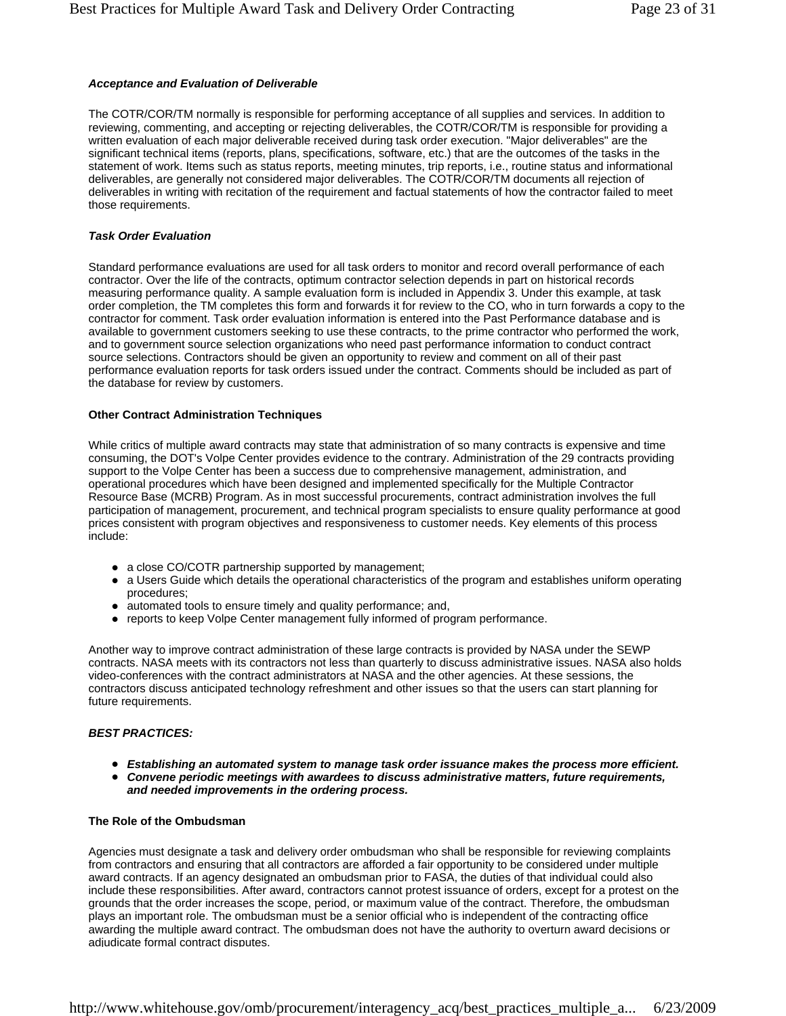#### *Acceptance and Evaluation of Deliverable*

The COTR/COR/TM normally is responsible for performing acceptance of all supplies and services. In addition to reviewing, commenting, and accepting or rejecting deliverables, the COTR/COR/TM is responsible for providing a written evaluation of each major deliverable received during task order execution. "Major deliverables" are the significant technical items (reports, plans, specifications, software, etc.) that are the outcomes of the tasks in the statement of work. Items such as status reports, meeting minutes, trip reports, i.e., routine status and informational deliverables, are generally not considered major deliverables. The COTR/COR/TM documents all rejection of deliverables in writing with recitation of the requirement and factual statements of how the contractor failed to meet those requirements.

#### *Task Order Evaluation*

Standard performance evaluations are used for all task orders to monitor and record overall performance of each contractor. Over the life of the contracts, optimum contractor selection depends in part on historical records measuring performance quality. A sample evaluation form is included in Appendix 3. Under this example, at task order completion, the TM completes this form and forwards it for review to the CO, who in turn forwards a copy to the contractor for comment. Task order evaluation information is entered into the Past Performance database and is available to government customers seeking to use these contracts, to the prime contractor who performed the work, and to government source selection organizations who need past performance information to conduct contract source selections. Contractors should be given an opportunity to review and comment on all of their past performance evaluation reports for task orders issued under the contract. Comments should be included as part of the database for review by customers.

#### **Other Contract Administration Techniques**

While critics of multiple award contracts may state that administration of so many contracts is expensive and time consuming, the DOT's Volpe Center provides evidence to the contrary. Administration of the 29 contracts providing support to the Volpe Center has been a success due to comprehensive management, administration, and operational procedures which have been designed and implemented specifically for the Multiple Contractor Resource Base (MCRB) Program. As in most successful procurements, contract administration involves the full participation of management, procurement, and technical program specialists to ensure quality performance at good prices consistent with program objectives and responsiveness to customer needs. Key elements of this process include:

- a close CO/COTR partnership supported by management;
- a Users Guide which details the operational characteristics of the program and establishes uniform operating procedures;
- automated tools to ensure timely and quality performance; and,
- reports to keep Volpe Center management fully informed of program performance.

Another way to improve contract administration of these large contracts is provided by NASA under the SEWP contracts. NASA meets with its contractors not less than quarterly to discuss administrative issues. NASA also holds video-conferences with the contract administrators at NASA and the other agencies. At these sessions, the contractors discuss anticipated technology refreshment and other issues so that the users can start planning for future requirements.

#### *BEST PRACTICES:*

- **Establishing an automated system to manage task order issuance makes the process more efficient.**
- **Convene periodic meetings with awardees to discuss administrative matters, future requirements,** *and needed improvements in the ordering process.*

#### **The Role of the Ombudsman**

Agencies must designate a task and delivery order ombudsman who shall be responsible for reviewing complaints from contractors and ensuring that all contractors are afforded a fair opportunity to be considered under multiple award contracts. If an agency designated an ombudsman prior to FASA, the duties of that individual could also include these responsibilities. After award, contractors cannot protest issuance of orders, except for a protest on the grounds that the order increases the scope, period, or maximum value of the contract. Therefore, the ombudsman plays an important role. The ombudsman must be a senior official who is independent of the contracting office awarding the multiple award contract. The ombudsman does not have the authority to overturn award decisions or adjudicate formal contract disputes.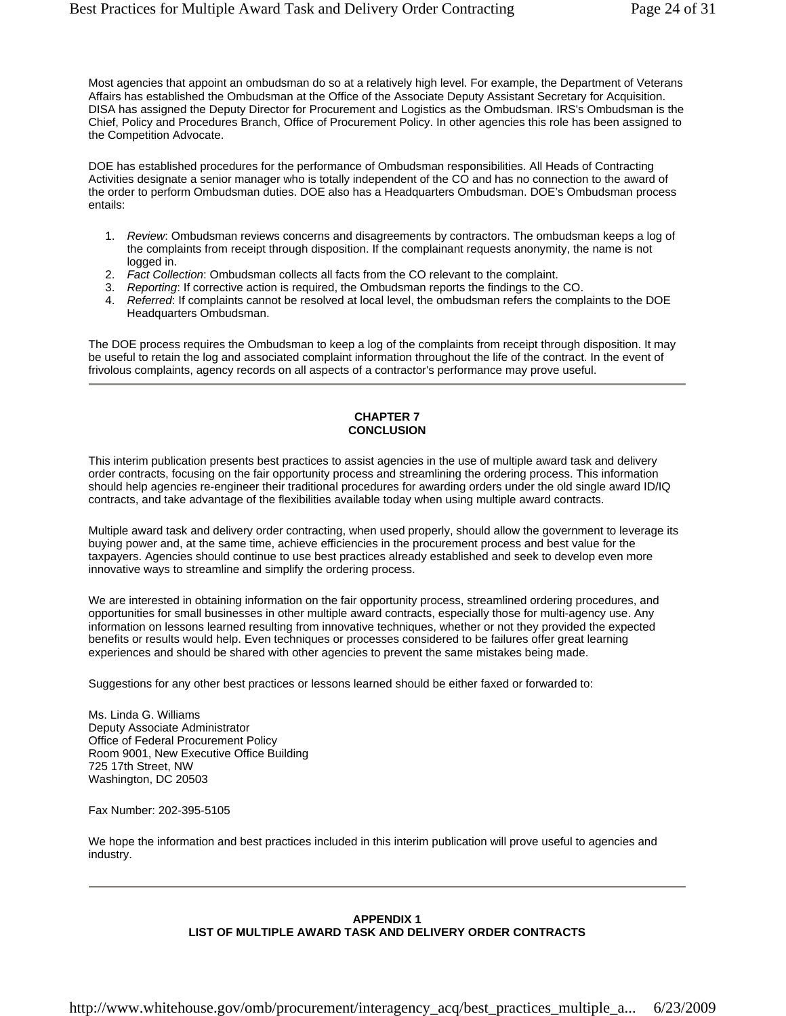Most agencies that appoint an ombudsman do so at a relatively high level. For example, the Department of Veterans Affairs has established the Ombudsman at the Office of the Associate Deputy Assistant Secretary for Acquisition. DISA has assigned the Deputy Director for Procurement and Logistics as the Ombudsman. IRS's Ombudsman is the Chief, Policy and Procedures Branch, Office of Procurement Policy. In other agencies this role has been assigned to the Competition Advocate.

DOE has established procedures for the performance of Ombudsman responsibilities. All Heads of Contracting Activities designate a senior manager who is totally independent of the CO and has no connection to the award of the order to perform Ombudsman duties. DOE also has a Headquarters Ombudsman. DOE's Ombudsman process entails:

- 1. *Review*: Ombudsman reviews concerns and disagreements by contractors. The ombudsman keeps a log of the complaints from receipt through disposition. If the complainant requests anonymity, the name is not logged in.
- 2. *Fact Collection*: Ombudsman collects all facts from the CO relevant to the complaint.
- 3. *Reporting*: If corrective action is required, the Ombudsman reports the findings to the CO.
- 4. *Referred*: If complaints cannot be resolved at local level, the ombudsman refers the complaints to the DOE Headquarters Ombudsman.

The DOE process requires the Ombudsman to keep a log of the complaints from receipt through disposition. It may be useful to retain the log and associated complaint information throughout the life of the contract. In the event of frivolous complaints, agency records on all aspects of a contractor's performance may prove useful.

#### **CHAPTER 7 CONCLUSION**

This interim publication presents best practices to assist agencies in the use of multiple award task and delivery order contracts, focusing on the fair opportunity process and streamlining the ordering process. This information should help agencies re-engineer their traditional procedures for awarding orders under the old single award ID/IQ contracts, and take advantage of the flexibilities available today when using multiple award contracts.

Multiple award task and delivery order contracting, when used properly, should allow the government to leverage its buying power and, at the same time, achieve efficiencies in the procurement process and best value for the taxpayers. Agencies should continue to use best practices already established and seek to develop even more innovative ways to streamline and simplify the ordering process.

We are interested in obtaining information on the fair opportunity process, streamlined ordering procedures, and opportunities for small businesses in other multiple award contracts, especially those for multi-agency use. Any information on lessons learned resulting from innovative techniques, whether or not they provided the expected benefits or results would help. Even techniques or processes considered to be failures offer great learning experiences and should be shared with other agencies to prevent the same mistakes being made.

Suggestions for any other best practices or lessons learned should be either faxed or forwarded to:

Ms. Linda G. Williams Deputy Associate Administrator Office of Federal Procurement Policy Room 9001, New Executive Office Building 725 17th Street, NW Washington, DC 20503

Fax Number: 202-395-5105

We hope the information and best practices included in this interim publication will prove useful to agencies and industry.

#### **APPENDIX 1 LIST OF MULTIPLE AWARD TASK AND DELIVERY ORDER CONTRACTS**

http://www.whitehouse.gov/omb/procurement/interagency\_acq/best\_practices\_multiple\_a... 6/23/2009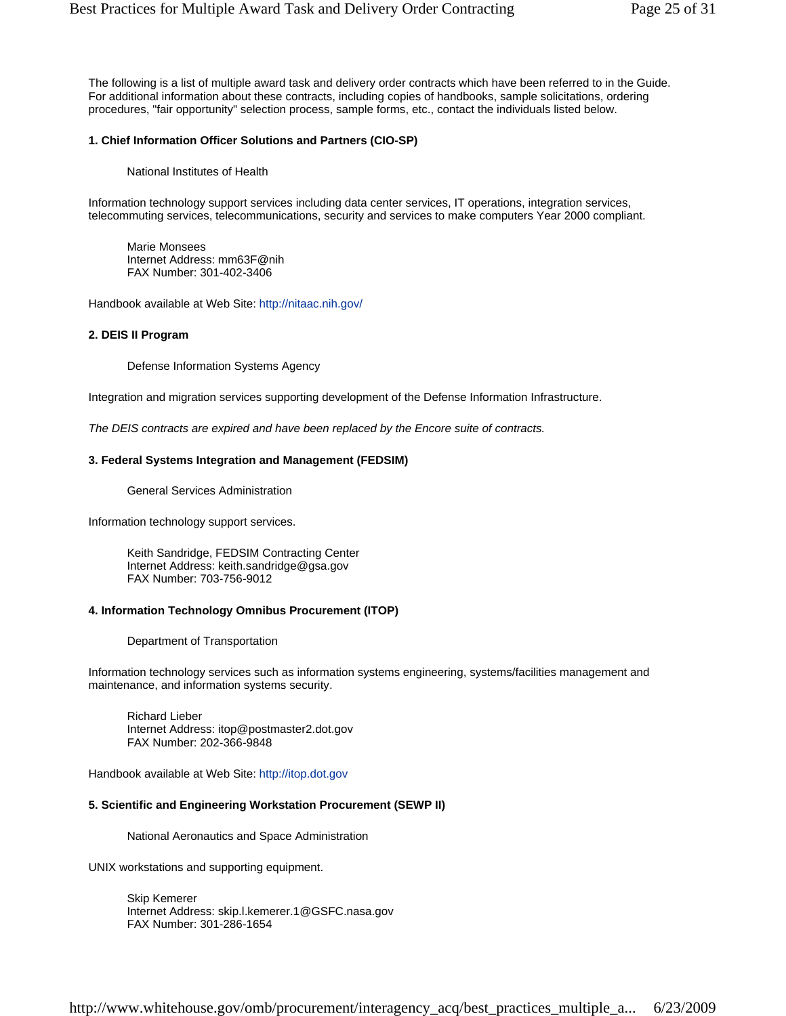The following is a list of multiple award task and delivery order contracts which have been referred to in the Guide. For additional information about these contracts, including copies of handbooks, sample solicitations, ordering procedures, "fair opportunity" selection process, sample forms, etc., contact the individuals listed below.

#### **1. Chief Information Officer Solutions and Partners (CIO-SP)**

National Institutes of Health

Information technology support services including data center services, IT operations, integration services, telecommuting services, telecommunications, security and services to make computers Year 2000 compliant.

Marie Monsees Internet Address: mm63F@nih FAX Number: 301-402-3406

Handbook available at Web Site: http://nitaac.nih.gov/

#### **2. DEIS II Program**

Defense Information Systems Agency

Integration and migration services supporting development of the Defense Information Infrastructure.

*The DEIS contracts are expired and have been replaced by the Encore suite of contracts.* 

#### **3. Federal Systems Integration and Management (FEDSIM)**

General Services Administration

Information technology support services.

Keith Sandridge, FEDSIM Contracting Center Internet Address: keith.sandridge@gsa.gov FAX Number: 703-756-9012

#### **4. Information Technology Omnibus Procurement (ITOP)**

Department of Transportation

Information technology services such as information systems engineering, systems/facilities management and maintenance, and information systems security.

Richard Lieber Internet Address: itop@postmaster2.dot.gov FAX Number: 202-366-9848

Handbook available at Web Site: http://itop.dot.gov

#### **5. Scientific and Engineering Workstation Procurement (SEWP II)**

National Aeronautics and Space Administration

UNIX workstations and supporting equipment.

Skip Kemerer Internet Address: skip.l.kemerer.1@GSFC.nasa.gov FAX Number: 301-286-1654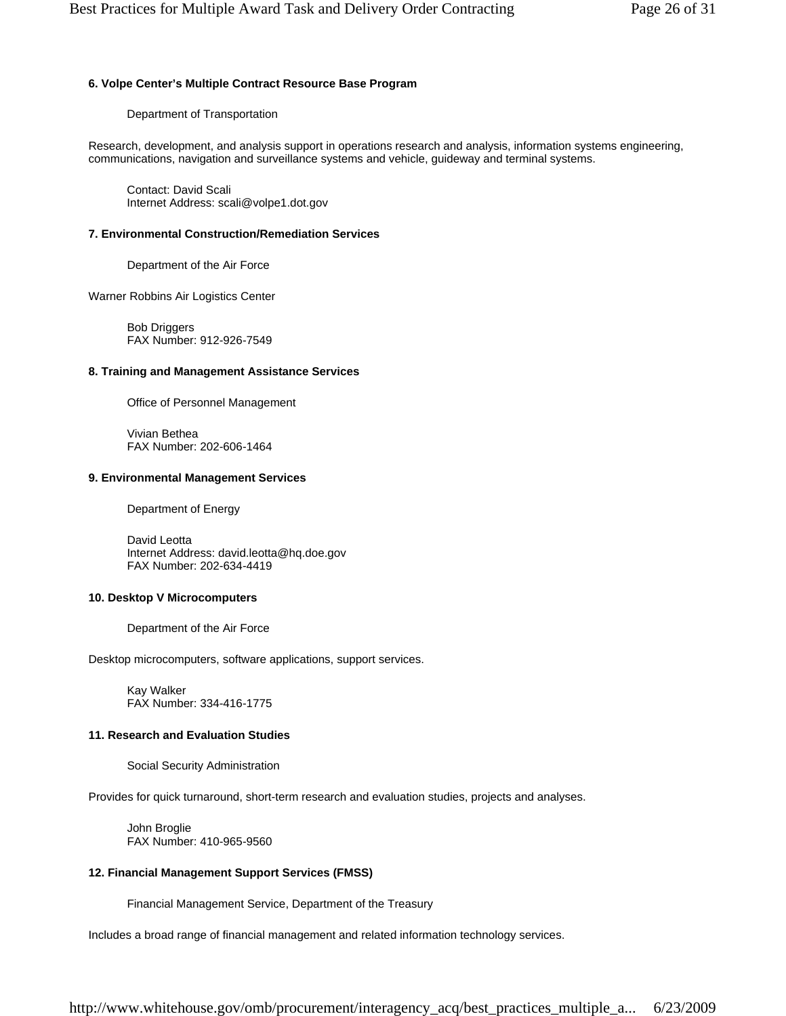# **6. Volpe Center's Multiple Contract Resource Base Program**

Department of Transportation

Research, development, and analysis support in operations research and analysis, information systems engineering, communications, navigation and surveillance systems and vehicle, guideway and terminal systems.

Contact: David Scali Internet Address: scali@volpe1.dot.gov

# **7. Environmental Construction/Remediation Services**

Department of the Air Force

Warner Robbins Air Logistics Center

Bob Driggers FAX Number: 912-926-7549

# **8. Training and Management Assistance Services**

Office of Personnel Management

Vivian Bethea FAX Number: 202-606-1464

# **9. Environmental Management Services**

Department of Energy

David Leotta Internet Address: david.leotta@hq.doe.gov FAX Number: 202-634-4419

# **10. Desktop V Microcomputers**

Department of the Air Force

Desktop microcomputers, software applications, support services.

Kay Walker FAX Number: 334-416-1775

# **11. Research and Evaluation Studies**

Social Security Administration

Provides for quick turnaround, short-term research and evaluation studies, projects and analyses.

John Broglie FAX Number: 410-965-9560

# **12. Financial Management Support Services (FMSS)**

Financial Management Service, Department of the Treasury

Includes a broad range of financial management and related information technology services.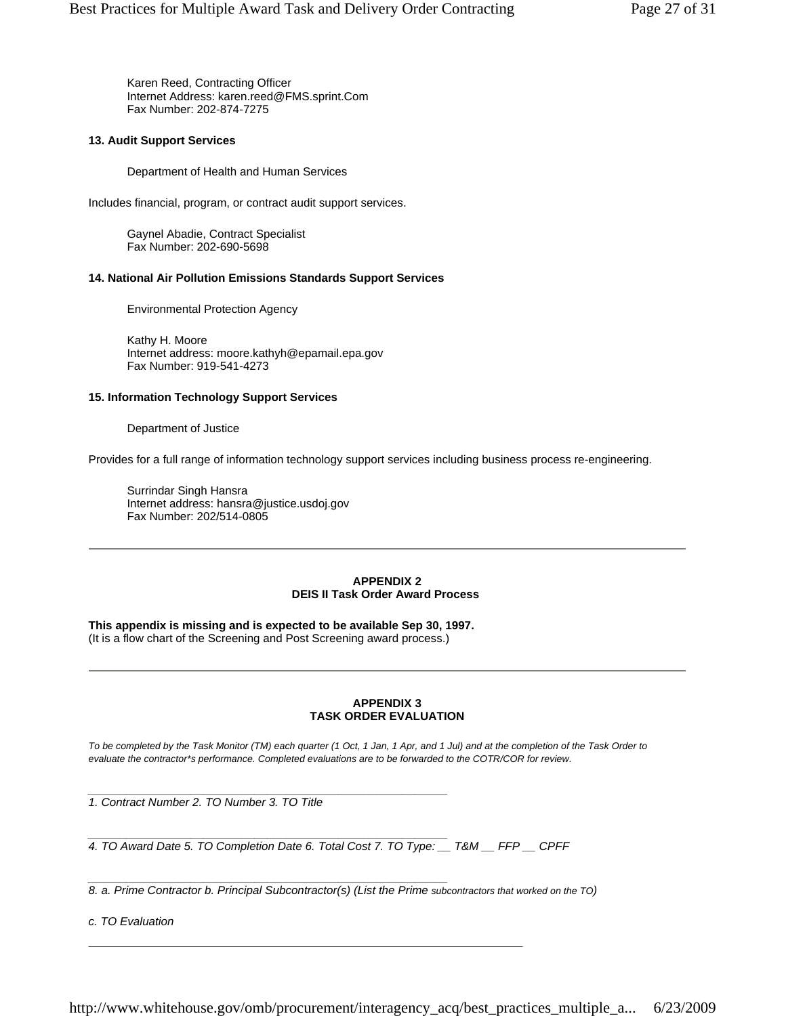Karen Reed, Contracting Officer Internet Address: karen.reed@FMS.sprint.Com Fax Number: 202-874-7275

#### **13. Audit Support Services**

Department of Health and Human Services

Includes financial, program, or contract audit support services.

Gaynel Abadie, Contract Specialist Fax Number: 202-690-5698

#### **14. National Air Pollution Emissions Standards Support Services**

Environmental Protection Agency

Kathy H. Moore Internet address: moore.kathyh@epamail.epa.gov Fax Number: 919-541-4273

#### **15. Information Technology Support Services**

Department of Justice

Provides for a full range of information technology support services including business process re-engineering.

Surrindar Singh Hansra Internet address: hansra@justice.usdoj.gov Fax Number: 202/514-0805

#### **APPENDIX 2 DEIS II Task Order Award Process**

**This appendix is missing and is expected to be available Sep 30, 1997.** (It is a flow chart of the Screening and Post Screening award process.)

*\_\_\_\_\_\_\_\_\_\_\_\_\_\_\_\_\_\_\_\_\_\_\_\_\_\_\_\_\_\_\_\_\_\_\_\_\_\_\_\_\_\_\_\_\_\_\_\_\_\_\_\_\_\_\_\_*

#### **APPENDIX 3 TASK ORDER EVALUATION**

*To be completed by the Task Monitor (TM) each quarter (1 Oct, 1 Jan, 1 Apr, and 1 Jul) and at the completion of the Task Order to evaluate the contractor\*s performance. Completed evaluations are to be forwarded to the COTR/COR for review.*

*\_\_\_\_\_\_\_\_\_\_\_\_\_\_\_\_\_\_\_\_\_\_\_\_\_\_\_\_\_\_\_\_\_\_\_\_\_\_\_\_\_\_\_\_\_\_\_\_\_\_\_\_\_\_\_\_ 1. Contract Number 2. TO Number 3. TO Title*

*\_\_\_\_\_\_\_\_\_\_\_\_\_\_\_\_\_\_\_\_\_\_\_\_\_\_\_\_\_\_\_\_\_\_\_\_\_\_\_\_\_\_\_\_\_\_\_\_\_\_\_\_\_\_\_\_ 4. TO Award Date 5. TO Completion Date 6. Total Cost 7. TO Type: \_\_ T&M \_\_ FFP \_\_ CPFF*

*8. a. Prime Contractor b. Principal Subcontractor(s) (List the Prime subcontractors that worked on the TO)*

*c. TO Evaluation*

http://www.whitehouse.gov/omb/procurement/interagency\_acq/best\_practices\_multiple\_a... 6/23/2009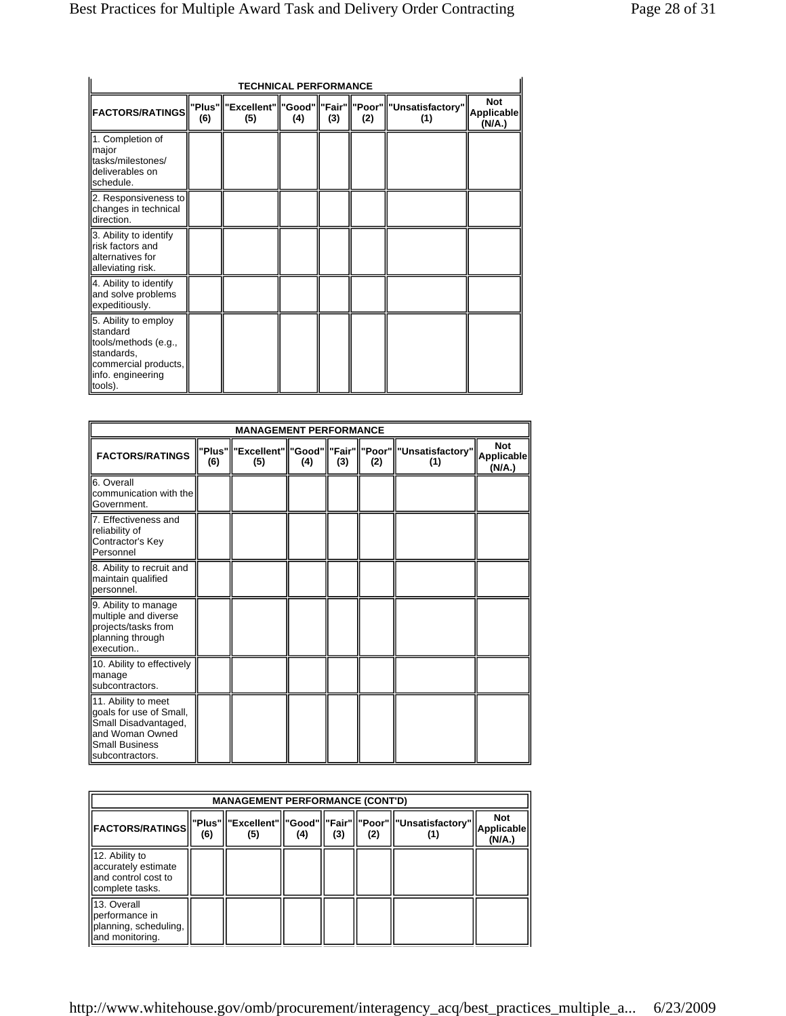| <b>TECHNICAL PERFORMANCE</b>                                                                                                   |     |                                                    |     |     |     |                         |                                           |  |  |
|--------------------------------------------------------------------------------------------------------------------------------|-----|----------------------------------------------------|-----|-----|-----|-------------------------|-------------------------------------------|--|--|
| <b>FACTORS/RATINGS</b>                                                                                                         | (6) | "Plus"  "Excellent"  "Good"  "Fair"  "Poor"<br>(5) | (4) | (3) | (2) | "Unsatisfactory"<br>(1) | <b>Not</b><br><b>Applicable</b><br>(N/A.) |  |  |
| 1. Completion of<br>major<br>tasks/milestones/<br>deliverables on<br>schedule.                                                 |     |                                                    |     |     |     |                         |                                           |  |  |
| 2. Responsiveness to<br>changes in technical<br>direction.                                                                     |     |                                                    |     |     |     |                         |                                           |  |  |
| 3. Ability to identify<br>risk factors and<br>alternatives for<br>alleviating risk.                                            |     |                                                    |     |     |     |                         |                                           |  |  |
| 4. Ability to identify<br>and solve problems<br>expeditiously.                                                                 |     |                                                    |     |     |     |                         |                                           |  |  |
| 5. Ability to employ<br>standard<br>tools/methods (e.g.,<br>standards,<br>commercial products,<br>info. engineering<br>tools). |     |                                                    |     |     |     |                         |                                           |  |  |

| <b>MANAGEMENT PERFORMANCE</b>                                                                                                         |     |     |     |     |     |                                                                           |                                    |  |
|---------------------------------------------------------------------------------------------------------------------------------------|-----|-----|-----|-----|-----|---------------------------------------------------------------------------|------------------------------------|--|
| <b>FACTORS/RATINGS</b>                                                                                                                | (6) | (5) | (4) | (3) | (2) | "Plus"   "Excellent"   "Good"   "Fair"   "Poor"   "Unsatisfactory"<br>(1) | <b>Not</b><br>Applicable<br>(N/A.) |  |
| 6. Overall<br>communication with the<br>Government.                                                                                   |     |     |     |     |     |                                                                           |                                    |  |
| 7. Effectiveness and<br>reliability of<br>Contractor's Key<br>Personnel                                                               |     |     |     |     |     |                                                                           |                                    |  |
| 8. Ability to recruit and<br>maintain qualified<br>personnel.                                                                         |     |     |     |     |     |                                                                           |                                    |  |
| 9. Ability to manage<br>multiple and diverse<br>projects/tasks from<br>planning through<br>execution                                  |     |     |     |     |     |                                                                           |                                    |  |
| 10. Ability to effectively<br>manage<br>subcontractors.                                                                               |     |     |     |     |     |                                                                           |                                    |  |
| 11. Ability to meet<br>goals for use of Small,<br>Small Disadvantaged,<br>and Woman Owned<br><b>Small Business</b><br>subcontractors. |     |     |     |     |     |                                                                           |                                    |  |

| <b>MANAGEMENT PERFORMANCE (CONT'D)</b>                                           |     |     |     |     |     |                                                               |                                    |  |
|----------------------------------------------------------------------------------|-----|-----|-----|-----|-----|---------------------------------------------------------------|------------------------------------|--|
| <b>FACTORS/RATINGS</b>                                                           | (6) | (5) | (4) | (3) | (2) | "Plus"  "Excellent"  "Good"  "Fair"  "Poor"  "Unsatisfactory" | <b>Not</b><br>Applicable<br>(N/A.) |  |
| 12. Ability to<br>accurately estimate<br>land control cost to<br>complete tasks. |     |     |     |     |     |                                                               |                                    |  |
| 13. Overall<br>performance in<br>Iplanning, scheduling,<br>and monitoring.       |     |     |     |     |     |                                                               |                                    |  |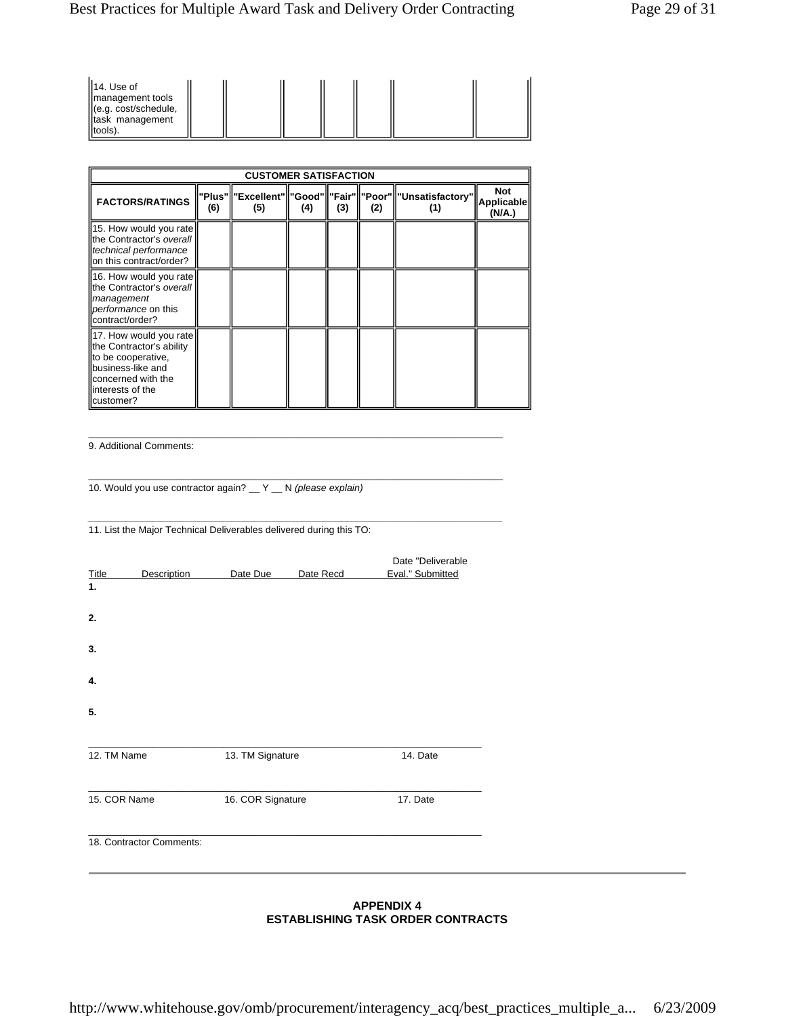| II4. Use of<br>management tools<br>(e.g. cost/schedule,<br>task management<br>tools) |  |  |  |  |  |  |  |
|--------------------------------------------------------------------------------------|--|--|--|--|--|--|--|
|--------------------------------------------------------------------------------------|--|--|--|--|--|--|--|

| <b>CUSTOMER SATISFACTION</b>                                                                                                                           |     |     |     |     |     |                                                                      |                             |  |
|--------------------------------------------------------------------------------------------------------------------------------------------------------|-----|-----|-----|-----|-----|----------------------------------------------------------------------|-----------------------------|--|
| <b>FACTORS/RATINGS</b>                                                                                                                                 | (6) | (5) | (4) | (3) | (2) | "Plus"  "Excellent"  "Good"  "Fair"  "Poor"  "Unsatisfactory"<br>(1) | Not<br>Applicable<br>(N/A.) |  |
| 15. How would you rate<br>the Contractor's overall<br>technical performance<br>lon this contract/order?                                                |     |     |     |     |     |                                                                      |                             |  |
| 16. How would you rate<br>the Contractor's overall<br>management<br>performance on this<br>contract/order?                                             |     |     |     |     |     |                                                                      |                             |  |
| 17. How would you rate<br>the Contractor's ability<br>to be cooperative.<br>business-like and<br>concerned with the<br>llinterests of the<br>customer? |     |     |     |     |     |                                                                      |                             |  |

\_\_\_\_\_\_\_\_\_\_\_\_\_\_\_\_\_\_\_\_\_\_\_\_\_\_\_\_\_\_\_\_\_\_\_\_\_\_\_\_\_\_\_\_\_\_\_\_\_\_\_\_\_\_\_\_\_\_\_\_\_\_\_\_\_\_\_\_\_\_\_\_\_\_\_\_\_

\_\_\_\_\_\_\_\_\_\_\_\_\_\_\_\_\_\_\_\_\_\_\_\_\_\_\_\_\_\_\_\_\_\_\_\_\_\_\_\_\_\_\_\_\_\_\_\_\_\_\_\_\_\_\_\_\_\_\_\_\_\_\_\_\_\_\_\_\_\_\_\_\_\_\_\_\_

*\_\_\_\_\_\_\_\_\_\_\_\_\_\_\_\_\_\_\_\_\_\_\_\_\_\_\_\_\_\_\_\_\_\_\_\_\_\_\_\_\_\_\_\_\_\_\_\_\_\_\_\_\_\_\_\_\_\_\_\_\_\_\_\_\_\_\_\_\_\_\_\_\_\_\_\_\_*

9. Additional Comments:

10. Would you use contractor again? \_\_ Y \_\_ N *(please explain)*

11. List the Major Technical Deliverables delivered during this TO:

| <b>Title</b> | <b>Description</b>       | Date Due          | Date Recd | Date "Deliverable<br>Eval." Submitted |  |
|--------------|--------------------------|-------------------|-----------|---------------------------------------|--|
| 1.           |                          |                   |           |                                       |  |
|              |                          |                   |           |                                       |  |
| 2.           |                          |                   |           |                                       |  |
| 3.           |                          |                   |           |                                       |  |
| 4.           |                          |                   |           |                                       |  |
| 5.           |                          |                   |           |                                       |  |
|              |                          |                   |           |                                       |  |
| 12. TM Name  |                          | 13. TM Signature  |           | 14. Date                              |  |
| 15. COR Name |                          | 16. COR Signature |           | 17. Date                              |  |
|              | 18. Contractor Comments: |                   |           |                                       |  |
|              |                          |                   |           |                                       |  |

#### **APPENDIX 4 ESTABLISHING TASK ORDER CONTRACTS**

http://www.whitehouse.gov/omb/procurement/interagency\_acq/best\_practices\_multiple\_a... 6/23/2009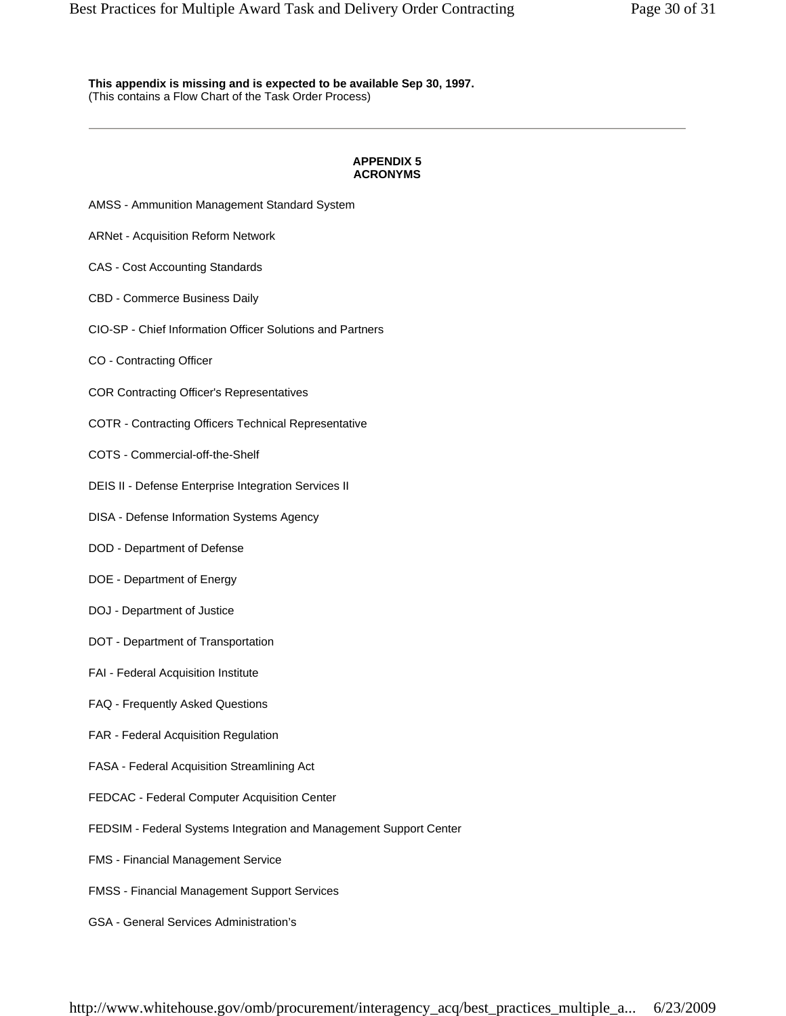**This appendix is missing and is expected to be available Sep 30, 1997.** (This contains a Flow Chart of the Task Order Process)

### **APPENDIX 5 ACRONYMS**

- AMSS Ammunition Management Standard System
- ARNet Acquisition Reform Network
- CAS Cost Accounting Standards
- CBD Commerce Business Daily
- CIO-SP Chief Information Officer Solutions and Partners
- CO Contracting Officer
- COR Contracting Officer's Representatives
- COTR Contracting Officers Technical Representative
- COTS Commercial-off-the-Shelf
- DEIS II Defense Enterprise Integration Services II
- DISA Defense Information Systems Agency
- DOD Department of Defense
- DOE Department of Energy
- DOJ Department of Justice
- DOT Department of Transportation
- FAI Federal Acquisition Institute
- FAQ Frequently Asked Questions
- FAR Federal Acquisition Regulation
- FASA Federal Acquisition Streamlining Act
- FEDCAC Federal Computer Acquisition Center
- FEDSIM Federal Systems Integration and Management Support Center
- FMS Financial Management Service
- FMSS Financial Management Support Services
- GSA General Services Administration's